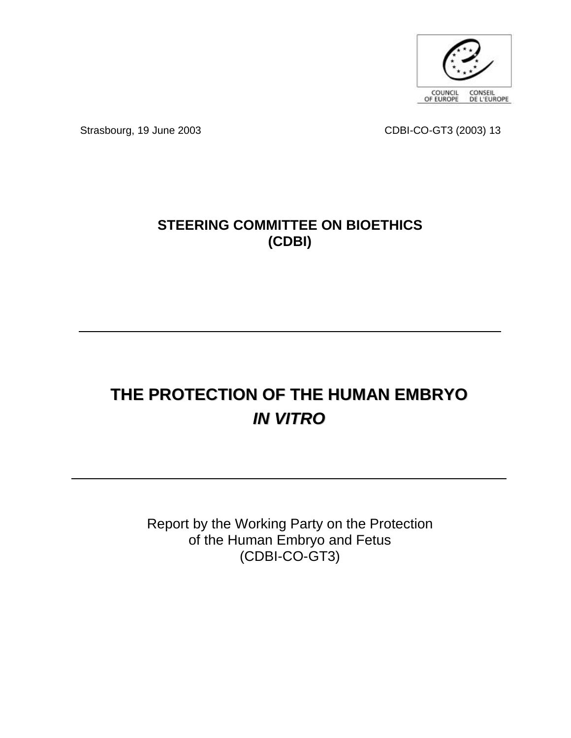

Strasbourg, 19 June 2003 CDBI-CO-GT3 (2003) 13

# **STEERING COMMITTEE ON BIOETHICS (CDBI)**

# **THE PROTECTION OF THE HUMAN EMBRYO** *IN VITRO*

Report by the Working Party on the Protection of the Human Embryo and Fetus (CDBI-CO-GT3)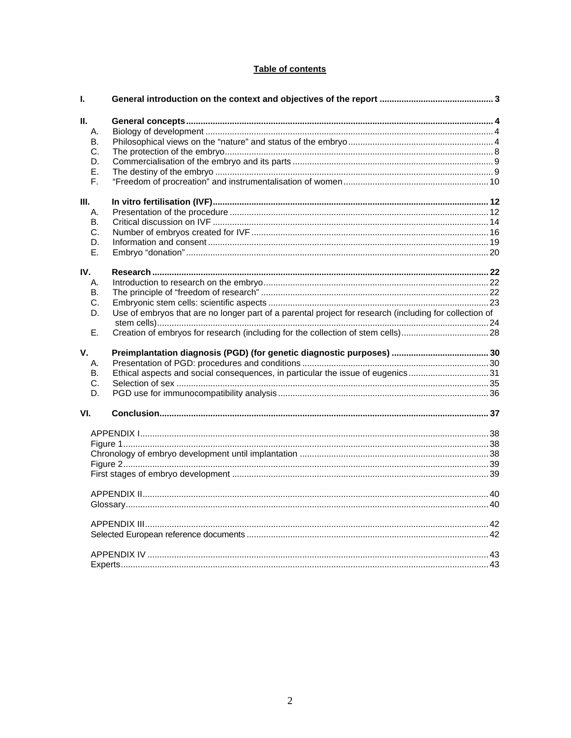# Table of contents

| I.        |                                                                                                        |  |
|-----------|--------------------------------------------------------------------------------------------------------|--|
| Ш.        |                                                                                                        |  |
| А.        |                                                                                                        |  |
| <b>B.</b> |                                                                                                        |  |
| C.        |                                                                                                        |  |
| D.        |                                                                                                        |  |
| Е.        |                                                                                                        |  |
| F.        |                                                                                                        |  |
| Ш.        |                                                                                                        |  |
| А.        |                                                                                                        |  |
| В.        |                                                                                                        |  |
| C.        |                                                                                                        |  |
| D.        |                                                                                                        |  |
| Е.        |                                                                                                        |  |
| IV.       |                                                                                                        |  |
| А.        |                                                                                                        |  |
| В.        |                                                                                                        |  |
| С.        |                                                                                                        |  |
| D.        | Use of embryos that are no longer part of a parental project for research (including for collection of |  |
|           |                                                                                                        |  |
| Ε.        |                                                                                                        |  |
| V.        |                                                                                                        |  |
| Α.        |                                                                                                        |  |
| В.        | Ethical aspects and social consequences, in particular the issue of eugenics31                         |  |
| C.        |                                                                                                        |  |
| D.        |                                                                                                        |  |
| VI.       |                                                                                                        |  |
|           |                                                                                                        |  |
|           |                                                                                                        |  |
|           |                                                                                                        |  |
|           |                                                                                                        |  |
|           |                                                                                                        |  |
|           |                                                                                                        |  |
|           |                                                                                                        |  |
|           |                                                                                                        |  |
|           |                                                                                                        |  |
|           |                                                                                                        |  |
|           |                                                                                                        |  |
|           |                                                                                                        |  |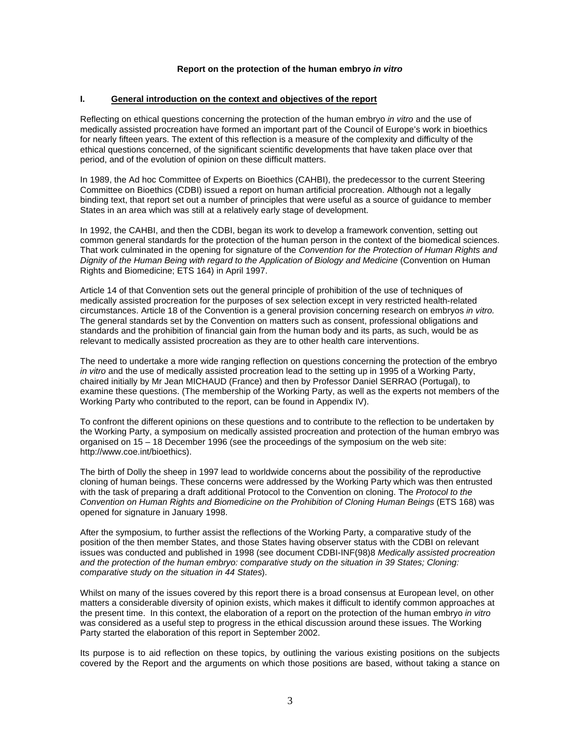#### **Report on the protection of the human embryo** *in vitro*

#### **I. General introduction on the context and objectives of the report**

Reflecting on ethical questions concerning the protection of the human embryo *in vitro* and the use of medically assisted procreation have formed an important part of the Council of Europe's work in bioethics for nearly fifteen years. The extent of this reflection is a measure of the complexity and difficulty of the ethical questions concerned, of the significant scientific developments that have taken place over that period, and of the evolution of opinion on these difficult matters.

In 1989, the Ad hoc Committee of Experts on Bioethics (CAHBI), the predecessor to the current Steering Committee on Bioethics (CDBI) issued a report on human artificial procreation. Although not a legally binding text, that report set out a number of principles that were useful as a source of guidance to member States in an area which was still at a relatively early stage of development.

In 1992, the CAHBI, and then the CDBI, began its work to develop a framework convention, setting out common general standards for the protection of the human person in the context of the biomedical sciences. That work culminated in the opening for signature of the *Convention for the Protection of Human Rights and Dignity of the Human Being with regard to the Application of Biology and Medicine* (Convention on Human Rights and Biomedicine; ETS 164) in April 1997.

Article 14 of that Convention sets out the general principle of prohibition of the use of techniques of medically assisted procreation for the purposes of sex selection except in very restricted health-related circumstances. Article 18 of the Convention is a general provision concerning research on embryos *in vitro.*  The general standards set by the Convention on matters such as consent, professional obligations and standards and the prohibition of financial gain from the human body and its parts, as such, would be as relevant to medically assisted procreation as they are to other health care interventions.

The need to undertake a more wide ranging reflection on questions concerning the protection of the embryo *in vitro* and the use of medically assisted procreation lead to the setting up in 1995 of a Working Party, chaired initially by Mr Jean MICHAUD (France) and then by Professor Daniel SERRAO (Portugal), to examine these questions. (The membership of the Working Party, as well as the experts not members of the Working Party who contributed to the report, can be found in Appendix IV).

To confront the different opinions on these questions and to contribute to the reflection to be undertaken by the Working Party, a symposium on medically assisted procreation and protection of the human embryo was organised on 15 – 18 December 1996 (see the proceedings of the symposium on the web site: http://www.coe.int/bioethics).

The birth of Dolly the sheep in 1997 lead to worldwide concerns about the possibility of the reproductive cloning of human beings. These concerns were addressed by the Working Party which was then entrusted with the task of preparing a draft additional Protocol to the Convention on cloning. The *Protocol to the Convention on Human Rights and Biomedicine on the Prohibition of Cloning Human Beings* (ETS 168) was opened for signature in January 1998.

After the symposium, to further assist the reflections of the Working Party, a comparative study of the position of the then member States, and those States having observer status with the CDBI on relevant issues was conducted and published in 1998 (see document CDBI-INF(98)8 *Medically assisted procreation and the protection of the human embryo: comparative study on the situation in 39 States; Cloning: comparative study on the situation in 44 States*).

Whilst on many of the issues covered by this report there is a broad consensus at European level, on other matters a considerable diversity of opinion exists, which makes it difficult to identify common approaches at the present time. In this context, the elaboration of a report on the protection of the human embryo *in vitro* was considered as a useful step to progress in the ethical discussion around these issues. The Working Party started the elaboration of this report in September 2002.

Its purpose is to aid reflection on these topics, by outlining the various existing positions on the subjects covered by the Report and the arguments on which those positions are based, without taking a stance on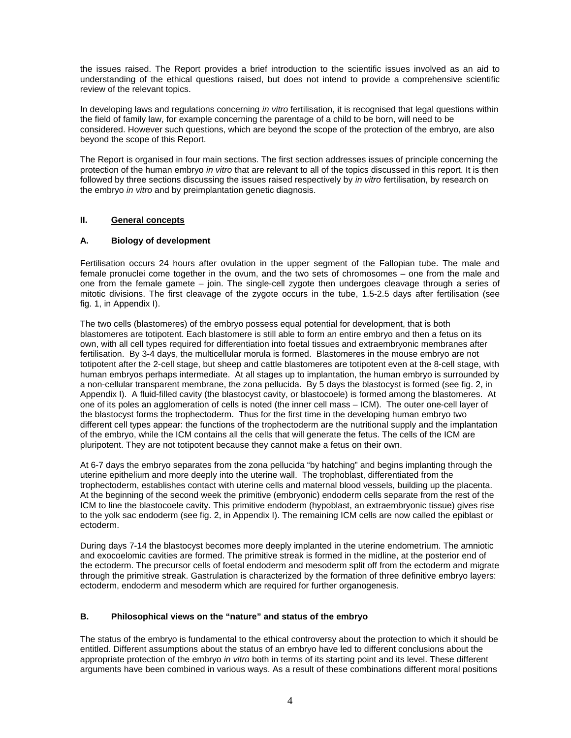the issues raised. The Report provides a brief introduction to the scientific issues involved as an aid to understanding of the ethical questions raised, but does not intend to provide a comprehensive scientific review of the relevant topics.

In developing laws and regulations concerning *in vitro* fertilisation, it is recognised that legal questions within the field of family law, for example concerning the parentage of a child to be born, will need to be considered. However such questions, which are beyond the scope of the protection of the embryo, are also beyond the scope of this Report.

The Report is organised in four main sections. The first section addresses issues of principle concerning the protection of the human embryo *in vitro* that are relevant to all of the topics discussed in this report. It is then followed by three sections discussing the issues raised respectively by *in vitro* fertilisation, by research on the embryo *in vitro* and by preimplantation genetic diagnosis.

# **II. General concepts**

#### **A. Biology of development**

Fertilisation occurs 24 hours after ovulation in the upper segment of the Fallopian tube. The male and female pronuclei come together in the ovum, and the two sets of chromosomes – one from the male and one from the female gamete – join. The single-cell zygote then undergoes cleavage through a series of mitotic divisions. The first cleavage of the zygote occurs in the tube, 1.5-2.5 days after fertilisation (see fig. 1, in Appendix I).

The two cells (blastomeres) of the embryo possess equal potential for development, that is both blastomeres are totipotent. Each blastomere is still able to form an entire embryo and then a fetus on its own, with all cell types required for differentiation into foetal tissues and extraembryonic membranes after fertilisation. By 3-4 days, the multicellular morula is formed. Blastomeres in the mouse embryo are not totipotent after the 2-cell stage, but sheep and cattle blastomeres are totipotent even at the 8-cell stage, with human embryos perhaps intermediate. At all stages up to implantation, the human embryo is surrounded by a non-cellular transparent membrane, the zona pellucida. By 5 days the blastocyst is formed (see fig. 2, in Appendix I). A fluid-filled cavity (the blastocyst cavity, or blastocoele) is formed among the blastomeres. At one of its poles an agglomeration of cells is noted (the inner cell mass – ICM). The outer one-cell layer of the blastocyst forms the trophectoderm. Thus for the first time in the developing human embryo two different cell types appear: the functions of the trophectoderm are the nutritional supply and the implantation of the embryo, while the ICM contains all the cells that will generate the fetus. The cells of the ICM are pluripotent. They are not totipotent because they cannot make a fetus on their own.

At 6-7 days the embryo separates from the zona pellucida "by hatching" and begins implanting through the uterine epithelium and more deeply into the uterine wall. The trophoblast, differentiated from the trophectoderm, establishes contact with uterine cells and maternal blood vessels, building up the placenta. At the beginning of the second week the primitive (embryonic) endoderm cells separate from the rest of the ICM to line the blastocoele cavity. This primitive endoderm (hypoblast, an extraembryonic tissue) gives rise to the yolk sac endoderm (see fig. 2, in Appendix I). The remaining ICM cells are now called the epiblast or ectoderm.

During days 7-14 the blastocyst becomes more deeply implanted in the uterine endometrium. The amniotic and exocoelomic cavities are formed. The primitive streak is formed in the midline, at the posterior end of the ectoderm. The precursor cells of foetal endoderm and mesoderm split off from the ectoderm and migrate through the primitive streak. Gastrulation is characterized by the formation of three definitive embryo layers: ectoderm, endoderm and mesoderm which are required for further organogenesis.

#### **B. Philosophical views on the "nature" and status of the embryo**

The status of the embryo is fundamental to the ethical controversy about the protection to which it should be entitled. Different assumptions about the status of an embryo have led to different conclusions about the appropriate protection of the embryo *in vitro* both in terms of its starting point and its level. These different arguments have been combined in various ways. As a result of these combinations different moral positions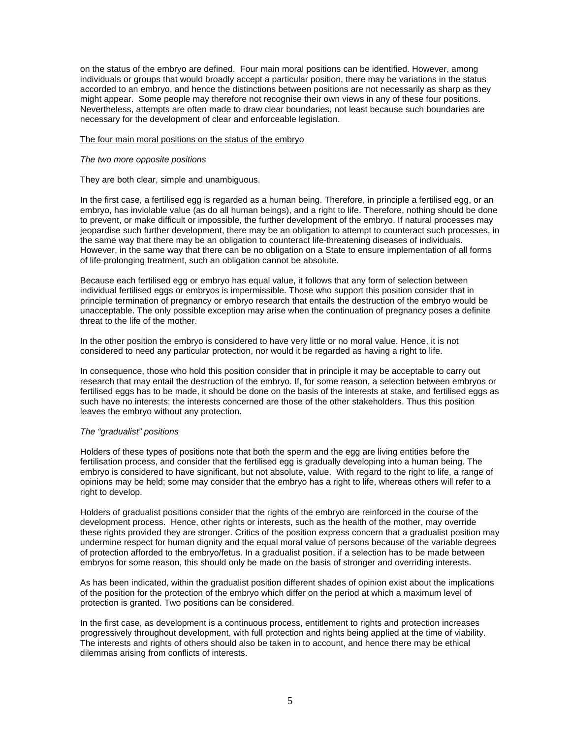on the status of the embryo are defined. Four main moral positions can be identified. However, among individuals or groups that would broadly accept a particular position, there may be variations in the status accorded to an embryo, and hence the distinctions between positions are not necessarily as sharp as they might appear. Some people may therefore not recognise their own views in any of these four positions. Nevertheless, attempts are often made to draw clear boundaries, not least because such boundaries are necessary for the development of clear and enforceable legislation.

#### The four main moral positions on the status of the embryo

#### *The two more opposite positions*

They are both clear, simple and unambiguous.

In the first case, a fertilised egg is regarded as a human being. Therefore, in principle a fertilised egg, or an embryo, has inviolable value (as do all human beings), and a right to life. Therefore, nothing should be done to prevent, or make difficult or impossible, the further development of the embryo. If natural processes may jeopardise such further development, there may be an obligation to attempt to counteract such processes, in the same way that there may be an obligation to counteract life-threatening diseases of individuals. However, in the same way that there can be no obligation on a State to ensure implementation of all forms of life-prolonging treatment, such an obligation cannot be absolute.

Because each fertilised egg or embryo has equal value, it follows that any form of selection between individual fertilised eggs or embryos is impermissible. Those who support this position consider that in principle termination of pregnancy or embryo research that entails the destruction of the embryo would be unacceptable. The only possible exception may arise when the continuation of pregnancy poses a definite threat to the life of the mother.

In the other position the embryo is considered to have very little or no moral value. Hence, it is not considered to need any particular protection, nor would it be regarded as having a right to life.

In consequence, those who hold this position consider that in principle it may be acceptable to carry out research that may entail the destruction of the embryo. If, for some reason, a selection between embryos or fertilised eggs has to be made, it should be done on the basis of the interests at stake, and fertilised eggs as such have no interests; the interests concerned are those of the other stakeholders. Thus this position leaves the embryo without any protection.

#### *The "gradualist" positions*

Holders of these types of positions note that both the sperm and the egg are living entities before the fertilisation process, and consider that the fertilised egg is gradually developing into a human being. The embryo is considered to have significant, but not absolute, value. With regard to the right to life, a range of opinions may be held; some may consider that the embryo has a right to life, whereas others will refer to a right to develop.

Holders of gradualist positions consider that the rights of the embryo are reinforced in the course of the development process. Hence, other rights or interests, such as the health of the mother, may override these rights provided they are stronger. Critics of the position express concern that a gradualist position may undermine respect for human dignity and the equal moral value of persons because of the variable degrees of protection afforded to the embryo/fetus. In a gradualist position, if a selection has to be made between embryos for some reason, this should only be made on the basis of stronger and overriding interests.

As has been indicated, within the gradualist position different shades of opinion exist about the implications of the position for the protection of the embryo which differ on the period at which a maximum level of protection is granted. Two positions can be considered.

In the first case, as development is a continuous process, entitlement to rights and protection increases progressively throughout development, with full protection and rights being applied at the time of viability. The interests and rights of others should also be taken in to account, and hence there may be ethical dilemmas arising from conflicts of interests.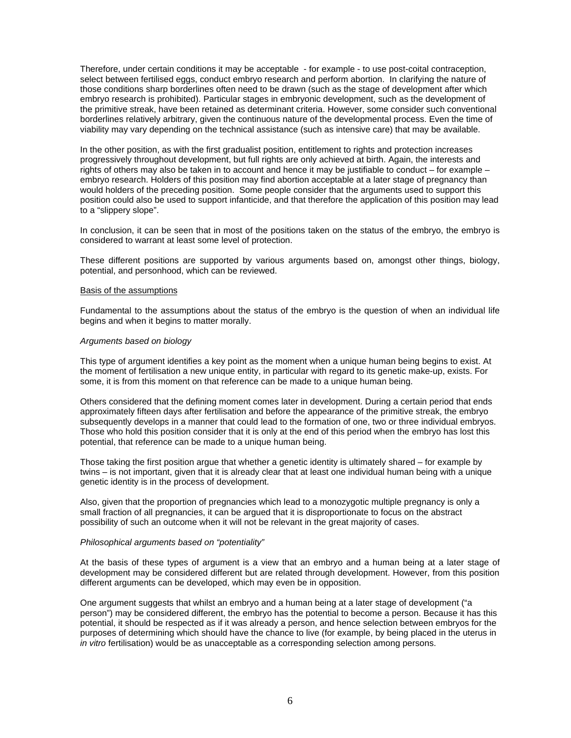Therefore, under certain conditions it may be acceptable - for example - to use post-coital contraception, select between fertilised eggs, conduct embryo research and perform abortion. In clarifying the nature of those conditions sharp borderlines often need to be drawn (such as the stage of development after which embryo research is prohibited). Particular stages in embryonic development, such as the development of the primitive streak, have been retained as determinant criteria. However, some consider such conventional borderlines relatively arbitrary, given the continuous nature of the developmental process. Even the time of viability may vary depending on the technical assistance (such as intensive care) that may be available.

In the other position, as with the first gradualist position, entitlement to rights and protection increases progressively throughout development, but full rights are only achieved at birth. Again, the interests and rights of others may also be taken in to account and hence it may be justifiable to conduct – for example – embryo research. Holders of this position may find abortion acceptable at a later stage of pregnancy than would holders of the preceding position. Some people consider that the arguments used to support this position could also be used to support infanticide, and that therefore the application of this position may lead to a "slippery slope".

In conclusion, it can be seen that in most of the positions taken on the status of the embryo, the embryo is considered to warrant at least some level of protection.

These different positions are supported by various arguments based on, amongst other things, biology, potential, and personhood, which can be reviewed.

#### Basis of the assumptions

Fundamental to the assumptions about the status of the embryo is the question of when an individual life begins and when it begins to matter morally.

#### *Arguments based on biology*

This type of argument identifies a key point as the moment when a unique human being begins to exist. At the moment of fertilisation a new unique entity, in particular with regard to its genetic make-up, exists. For some, it is from this moment on that reference can be made to a unique human being.

Others considered that the defining moment comes later in development. During a certain period that ends approximately fifteen days after fertilisation and before the appearance of the primitive streak, the embryo subsequently develops in a manner that could lead to the formation of one, two or three individual embryos. Those who hold this position consider that it is only at the end of this period when the embryo has lost this potential, that reference can be made to a unique human being.

Those taking the first position argue that whether a genetic identity is ultimately shared – for example by twins – is not important, given that it is already clear that at least one individual human being with a unique genetic identity is in the process of development.

Also, given that the proportion of pregnancies which lead to a monozygotic multiple pregnancy is only a small fraction of all pregnancies, it can be argued that it is disproportionate to focus on the abstract possibility of such an outcome when it will not be relevant in the great majority of cases.

#### *Philosophical arguments based on "potentiality"*

At the basis of these types of argument is a view that an embryo and a human being at a later stage of development may be considered different but are related through development. However, from this position different arguments can be developed, which may even be in opposition.

One argument suggests that whilst an embryo and a human being at a later stage of development ("a person") may be considered different, the embryo has the potential to become a person. Because it has this potential, it should be respected as if it was already a person, and hence selection between embryos for the purposes of determining which should have the chance to live (for example, by being placed in the uterus in *in vitro* fertilisation) would be as unacceptable as a corresponding selection among persons.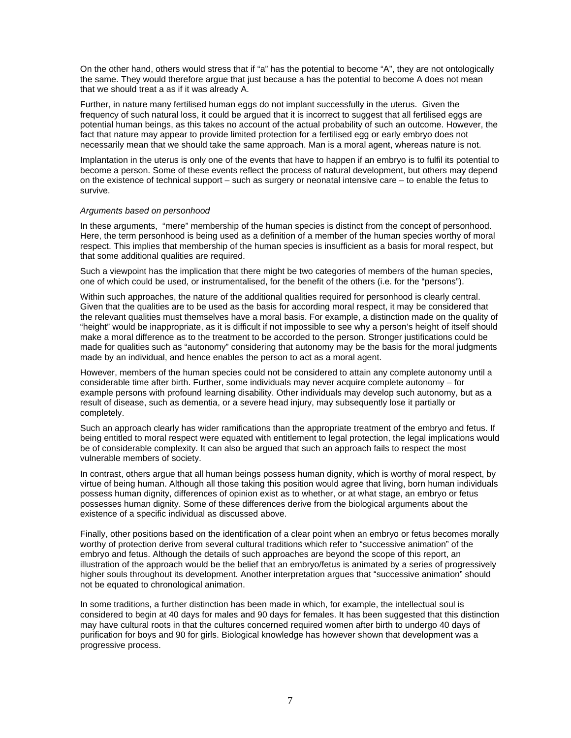On the other hand, others would stress that if "a" has the potential to become "A", they are not ontologically the same. They would therefore argue that just because a has the potential to become A does not mean that we should treat a as if it was already A.

Further, in nature many fertilised human eggs do not implant successfully in the uterus. Given the frequency of such natural loss, it could be argued that it is incorrect to suggest that all fertilised eggs are potential human beings, as this takes no account of the actual probability of such an outcome. However, the fact that nature may appear to provide limited protection for a fertilised egg or early embryo does not necessarily mean that we should take the same approach. Man is a moral agent, whereas nature is not.

Implantation in the uterus is only one of the events that have to happen if an embryo is to fulfil its potential to become a person. Some of these events reflect the process of natural development, but others may depend on the existence of technical support – such as surgery or neonatal intensive care – to enable the fetus to survive.

#### *Arguments based on personhood*

In these arguments, "mere" membership of the human species is distinct from the concept of personhood. Here, the term personhood is being used as a definition of a member of the human species worthy of moral respect. This implies that membership of the human species is insufficient as a basis for moral respect, but that some additional qualities are required.

Such a viewpoint has the implication that there might be two categories of members of the human species, one of which could be used, or instrumentalised, for the benefit of the others (i.e. for the "persons").

Within such approaches, the nature of the additional qualities required for personhood is clearly central. Given that the qualities are to be used as the basis for according moral respect, it may be considered that the relevant qualities must themselves have a moral basis. For example, a distinction made on the quality of "height" would be inappropriate, as it is difficult if not impossible to see why a person's height of itself should make a moral difference as to the treatment to be accorded to the person. Stronger justifications could be made for qualities such as "autonomy" considering that autonomy may be the basis for the moral judgments made by an individual, and hence enables the person to act as a moral agent.

However, members of the human species could not be considered to attain any complete autonomy until a considerable time after birth. Further, some individuals may never acquire complete autonomy – for example persons with profound learning disability. Other individuals may develop such autonomy, but as a result of disease, such as dementia, or a severe head injury, may subsequently lose it partially or completely.

Such an approach clearly has wider ramifications than the appropriate treatment of the embryo and fetus. If being entitled to moral respect were equated with entitlement to legal protection, the legal implications would be of considerable complexity. It can also be argued that such an approach fails to respect the most vulnerable members of society.

In contrast, others argue that all human beings possess human dignity, which is worthy of moral respect, by virtue of being human. Although all those taking this position would agree that living, born human individuals possess human dignity, differences of opinion exist as to whether, or at what stage, an embryo or fetus possesses human dignity. Some of these differences derive from the biological arguments about the existence of a specific individual as discussed above.

Finally, other positions based on the identification of a clear point when an embryo or fetus becomes morally worthy of protection derive from several cultural traditions which refer to "successive animation" of the embryo and fetus. Although the details of such approaches are beyond the scope of this report, an illustration of the approach would be the belief that an embryo/fetus is animated by a series of progressively higher souls throughout its development. Another interpretation argues that "successive animation" should not be equated to chronological animation.

In some traditions, a further distinction has been made in which, for example, the intellectual soul is considered to begin at 40 days for males and 90 days for females. It has been suggested that this distinction may have cultural roots in that the cultures concerned required women after birth to undergo 40 days of purification for boys and 90 for girls. Biological knowledge has however shown that development was a progressive process.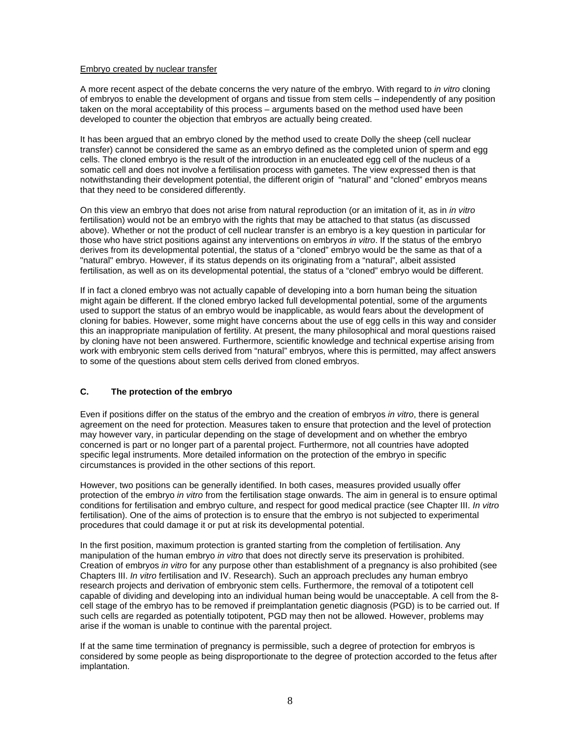#### Embryo created by nuclear transfer

A more recent aspect of the debate concerns the very nature of the embryo. With regard to *in vitro* cloning of embryos to enable the development of organs and tissue from stem cells – independently of any position taken on the moral acceptability of this process – arguments based on the method used have been developed to counter the objection that embryos are actually being created.

It has been argued that an embryo cloned by the method used to create Dolly the sheep (cell nuclear transfer) cannot be considered the same as an embryo defined as the completed union of sperm and egg cells. The cloned embryo is the result of the introduction in an enucleated egg cell of the nucleus of a somatic cell and does not involve a fertilisation process with gametes. The view expressed then is that notwithstanding their development potential, the different origin of "natural" and "cloned" embryos means that they need to be considered differently.

On this view an embryo that does not arise from natural reproduction (or an imitation of it, as in *in vitro* fertilisation) would not be an embryo with the rights that may be attached to that status (as discussed above). Whether or not the product of cell nuclear transfer is an embryo is a key question in particular for those who have strict positions against any interventions on embryos *in vitro*. If the status of the embryo derives from its developmental potential, the status of a "cloned" embryo would be the same as that of a "natural" embryo. However, if its status depends on its originating from a "natural", albeit assisted fertilisation, as well as on its developmental potential, the status of a "cloned" embryo would be different.

If in fact a cloned embryo was not actually capable of developing into a born human being the situation might again be different. If the cloned embryo lacked full developmental potential, some of the arguments used to support the status of an embryo would be inapplicable, as would fears about the development of cloning for babies. However, some might have concerns about the use of egg cells in this way and consider this an inappropriate manipulation of fertility. At present, the many philosophical and moral questions raised by cloning have not been answered. Furthermore, scientific knowledge and technical expertise arising from work with embryonic stem cells derived from "natural" embryos, where this is permitted, may affect answers to some of the questions about stem cells derived from cloned embryos.

# **C. The protection of the embryo**

Even if positions differ on the status of the embryo and the creation of embryos *in vitro*, there is general agreement on the need for protection. Measures taken to ensure that protection and the level of protection may however vary, in particular depending on the stage of development and on whether the embryo concerned is part or no longer part of a parental project. Furthermore, not all countries have adopted specific legal instruments. More detailed information on the protection of the embryo in specific circumstances is provided in the other sections of this report.

However, two positions can be generally identified. In both cases, measures provided usually offer protection of the embryo *in vitro* from the fertilisation stage onwards. The aim in general is to ensure optimal conditions for fertilisation and embryo culture, and respect for good medical practice (see Chapter III. *In vitro* fertilisation). One of the aims of protection is to ensure that the embryo is not subjected to experimental procedures that could damage it or put at risk its developmental potential.

In the first position, maximum protection is granted starting from the completion of fertilisation. Any manipulation of the human embryo *in vitro* that does not directly serve its preservation is prohibited. Creation of embryos *in vitro* for any purpose other than establishment of a pregnancy is also prohibited (see Chapters III. *In vitro* fertilisation and IV. Research). Such an approach precludes any human embryo research projects and derivation of embryonic stem cells. Furthermore, the removal of a totipotent cell capable of dividing and developing into an individual human being would be unacceptable. A cell from the 8 cell stage of the embryo has to be removed if preimplantation genetic diagnosis (PGD) is to be carried out. If such cells are regarded as potentially totipotent, PGD may then not be allowed. However, problems may arise if the woman is unable to continue with the parental project.

If at the same time termination of pregnancy is permissible, such a degree of protection for embryos is considered by some people as being disproportionate to the degree of protection accorded to the fetus after implantation.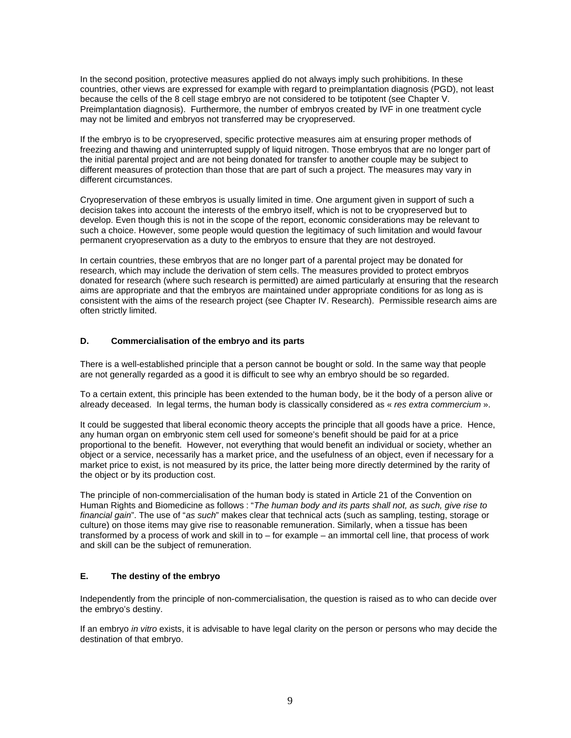In the second position, protective measures applied do not always imply such prohibitions. In these countries, other views are expressed for example with regard to preimplantation diagnosis (PGD), not least because the cells of the 8 cell stage embryo are not considered to be totipotent (see Chapter V. Preimplantation diagnosis). Furthermore, the number of embryos created by IVF in one treatment cycle may not be limited and embryos not transferred may be cryopreserved.

If the embryo is to be cryopreserved, specific protective measures aim at ensuring proper methods of freezing and thawing and uninterrupted supply of liquid nitrogen. Those embryos that are no longer part of the initial parental project and are not being donated for transfer to another couple may be subject to different measures of protection than those that are part of such a project. The measures may vary in different circumstances.

Cryopreservation of these embryos is usually limited in time. One argument given in support of such a decision takes into account the interests of the embryo itself, which is not to be cryopreserved but to develop. Even though this is not in the scope of the report, economic considerations may be relevant to such a choice. However, some people would question the legitimacy of such limitation and would favour permanent cryopreservation as a duty to the embryos to ensure that they are not destroyed.

In certain countries, these embryos that are no longer part of a parental project may be donated for research, which may include the derivation of stem cells. The measures provided to protect embryos donated for research (where such research is permitted) are aimed particularly at ensuring that the research aims are appropriate and that the embryos are maintained under appropriate conditions for as long as is consistent with the aims of the research project (see Chapter IV. Research). Permissible research aims are often strictly limited.

#### **D. Commercialisation of the embryo and its parts**

There is a well-established principle that a person cannot be bought or sold. In the same way that people are not generally regarded as a good it is difficult to see why an embryo should be so regarded.

To a certain extent, this principle has been extended to the human body, be it the body of a person alive or already deceased. In legal terms, the human body is classically considered as « *res extra commercium* ».

It could be suggested that liberal economic theory accepts the principle that all goods have a price. Hence, any human organ on embryonic stem cell used for someone's benefit should be paid for at a price proportional to the benefit. However, not everything that would benefit an individual or society, whether an object or a service, necessarily has a market price, and the usefulness of an object, even if necessary for a market price to exist, is not measured by its price, the latter being more directly determined by the rarity of the object or by its production cost.

The principle of non-commercialisation of the human body is stated in Article 21 of the Convention on Human Rights and Biomedicine as follows : "*The human body and its parts shall not, as such, give rise to financial gain*". The use of "*as such*" makes clear that technical acts (such as sampling, testing, storage or culture) on those items may give rise to reasonable remuneration. Similarly, when a tissue has been transformed by a process of work and skill in to – for example – an immortal cell line, that process of work and skill can be the subject of remuneration.

# **E. The destiny of the embryo**

Independently from the principle of non-commercialisation, the question is raised as to who can decide over the embryo's destiny.

If an embryo *in vitro* exists, it is advisable to have legal clarity on the person or persons who may decide the destination of that embryo.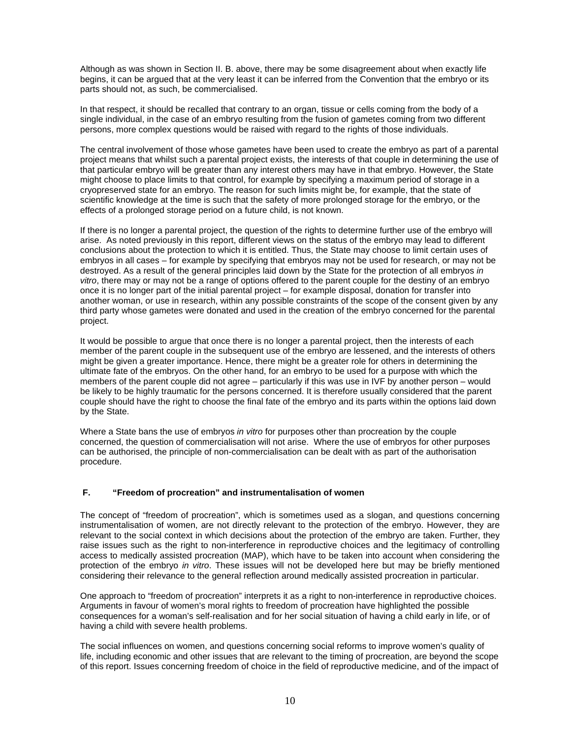Although as was shown in Section II. B. above, there may be some disagreement about when exactly life begins, it can be argued that at the very least it can be inferred from the Convention that the embryo or its parts should not, as such, be commercialised.

In that respect, it should be recalled that contrary to an organ, tissue or cells coming from the body of a single individual, in the case of an embryo resulting from the fusion of gametes coming from two different persons, more complex questions would be raised with regard to the rights of those individuals.

The central involvement of those whose gametes have been used to create the embryo as part of a parental project means that whilst such a parental project exists, the interests of that couple in determining the use of that particular embryo will be greater than any interest others may have in that embryo. However, the State might choose to place limits to that control, for example by specifying a maximum period of storage in a cryopreserved state for an embryo. The reason for such limits might be, for example, that the state of scientific knowledge at the time is such that the safety of more prolonged storage for the embryo, or the effects of a prolonged storage period on a future child, is not known.

If there is no longer a parental project, the question of the rights to determine further use of the embryo will arise. As noted previously in this report, different views on the status of the embryo may lead to different conclusions about the protection to which it is entitled. Thus, the State may choose to limit certain uses of embryos in all cases – for example by specifying that embryos may not be used for research, or may not be destroyed. As a result of the general principles laid down by the State for the protection of all embryos *in vitro*, there may or may not be a range of options offered to the parent couple for the destiny of an embryo once it is no longer part of the initial parental project – for example disposal, donation for transfer into another woman, or use in research, within any possible constraints of the scope of the consent given by any third party whose gametes were donated and used in the creation of the embryo concerned for the parental project.

It would be possible to argue that once there is no longer a parental project, then the interests of each member of the parent couple in the subsequent use of the embryo are lessened, and the interests of others might be given a greater importance. Hence, there might be a greater role for others in determining the ultimate fate of the embryos. On the other hand, for an embryo to be used for a purpose with which the members of the parent couple did not agree – particularly if this was use in IVF by another person – would be likely to be highly traumatic for the persons concerned. It is therefore usually considered that the parent couple should have the right to choose the final fate of the embryo and its parts within the options laid down by the State.

Where a State bans the use of embryos *in vitro* for purposes other than procreation by the couple concerned, the question of commercialisation will not arise. Where the use of embryos for other purposes can be authorised, the principle of non-commercialisation can be dealt with as part of the authorisation procedure.

# **F. "Freedom of procreation" and instrumentalisation of women**

The concept of "freedom of procreation", which is sometimes used as a slogan, and questions concerning instrumentalisation of women, are not directly relevant to the protection of the embryo. However, they are relevant to the social context in which decisions about the protection of the embryo are taken. Further, they raise issues such as the right to non-interference in reproductive choices and the legitimacy of controlling access to medically assisted procreation (MAP), which have to be taken into account when considering the protection of the embryo *in vitro*. These issues will not be developed here but may be briefly mentioned considering their relevance to the general reflection around medically assisted procreation in particular.

One approach to "freedom of procreation" interprets it as a right to non-interference in reproductive choices. Arguments in favour of women's moral rights to freedom of procreation have highlighted the possible consequences for a woman's self-realisation and for her social situation of having a child early in life, or of having a child with severe health problems.

The social influences on women, and questions concerning social reforms to improve women's quality of life, including economic and other issues that are relevant to the timing of procreation, are beyond the scope of this report. Issues concerning freedom of choice in the field of reproductive medicine, and of the impact of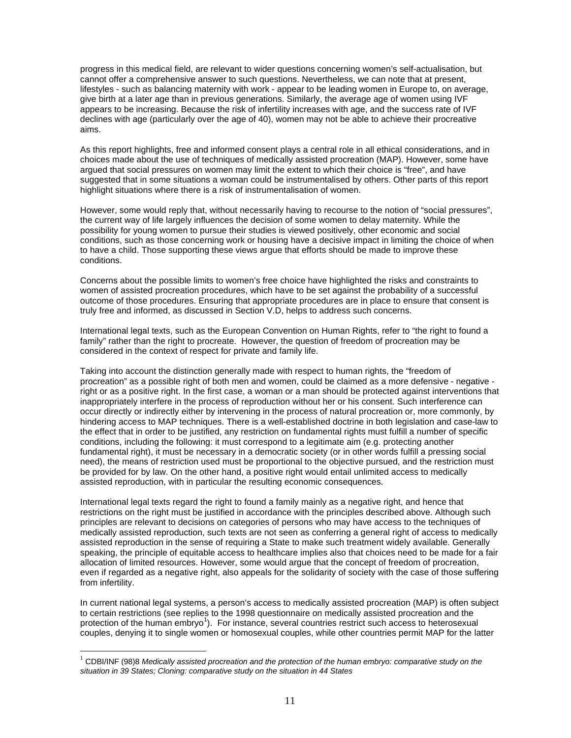progress in this medical field, are relevant to wider questions concerning women's self-actualisation, but cannot offer a comprehensive answer to such questions. Nevertheless, we can note that at present, lifestyles - such as balancing maternity with work - appear to be leading women in Europe to, on average, give birth at a later age than in previous generations. Similarly, the average age of women using IVF appears to be increasing. Because the risk of infertility increases with age, and the success rate of IVF declines with age (particularly over the age of 40), women may not be able to achieve their procreative aims.

As this report highlights, free and informed consent plays a central role in all ethical considerations, and in choices made about the use of techniques of medically assisted procreation (MAP). However, some have argued that social pressures on women may limit the extent to which their choice is "free", and have suggested that in some situations a woman could be instrumentalised by others. Other parts of this report highlight situations where there is a risk of instrumentalisation of women.

However, some would reply that, without necessarily having to recourse to the notion of "social pressures", the current way of life largely influences the decision of some women to delay maternity. While the possibility for young women to pursue their studies is viewed positively, other economic and social conditions, such as those concerning work or housing have a decisive impact in limiting the choice of when to have a child. Those supporting these views argue that efforts should be made to improve these conditions.

Concerns about the possible limits to women's free choice have highlighted the risks and constraints to women of assisted procreation procedures, which have to be set against the probability of a successful outcome of those procedures. Ensuring that appropriate procedures are in place to ensure that consent is truly free and informed, as discussed in Section V.D, helps to address such concerns.

International legal texts, such as the European Convention on Human Rights, refer to "the right to found a family" rather than the right to procreate. However, the question of freedom of procreation may be considered in the context of respect for private and family life.

Taking into account the distinction generally made with respect to human rights, the "freedom of procreation" as a possible right of both men and women, could be claimed as a more defensive - negative right or as a positive right. In the first case, a woman or a man should be protected against interventions that inappropriately interfere in the process of reproduction without her or his consent. Such interference can occur directly or indirectly either by intervening in the process of natural procreation or, more commonly, by hindering access to MAP techniques. There is a well-established doctrine in both legislation and case-law to the effect that in order to be justified, any restriction on fundamental rights must fulfill a number of specific conditions, including the following: it must correspond to a legitimate aim (e.g. protecting another fundamental right), it must be necessary in a democratic society (or in other words fulfill a pressing social need), the means of restriction used must be proportional to the objective pursued, and the restriction must be provided for by law. On the other hand, a positive right would entail unlimited access to medically assisted reproduction, with in particular the resulting economic consequences.

International legal texts regard the right to found a family mainly as a negative right, and hence that restrictions on the right must be justified in accordance with the principles described above. Although such principles are relevant to decisions on categories of persons who may have access to the techniques of medically assisted reproduction, such texts are not seen as conferring a general right of access to medically assisted reproduction in the sense of requiring a State to make such treatment widely available. Generally speaking, the principle of equitable access to healthcare implies also that choices need to be made for a fair allocation of limited resources. However, some would argue that the concept of freedom of procreation, even if regarded as a negative right, also appeals for the solidarity of society with the case of those suffering from infertility.

In current national legal systems, a person's access to medically assisted procreation (MAP) is often subject to certain restrictions (see replies to the 1998 questionnaire on medically assisted procreation and the protection of the human embryo<sup>1</sup>). For instance, several countries restrict such access to heterosexual couples, denying it to single women or homosexual couples, while other countries permit MAP for the latter

 $\overline{a}$ 

<sup>1</sup> CDBI/INF (98)8 *Medically assisted procreation and the protection of the human embryo: comparative study on the situation in 39 States; Cloning: comparative study on the situation in 44 States*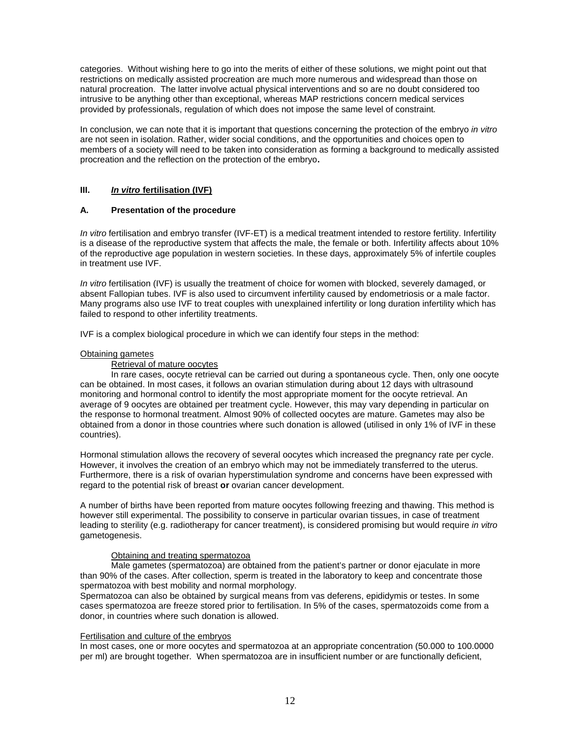categories. Without wishing here to go into the merits of either of these solutions, we might point out that restrictions on medically assisted procreation are much more numerous and widespread than those on natural procreation. The latter involve actual physical interventions and so are no doubt considered too intrusive to be anything other than exceptional, whereas MAP restrictions concern medical services provided by professionals, regulation of which does not impose the same level of constraint.

In conclusion, we can note that it is important that questions concerning the protection of the embryo *in vitro*  are not seen in isolation. Rather, wider social conditions, and the opportunities and choices open to members of a society will need to be taken into consideration as forming a background to medically assisted procreation and the reflection on the protection of the embryo**.**

#### **III.** *In vitro* **fertilisation (IVF)**

# **A. Presentation of the procedure**

*In vitro* fertilisation and embryo transfer (IVF-ET) is a medical treatment intended to restore fertility. Infertility is a disease of the reproductive system that affects the male, the female or both. Infertility affects about 10% of the reproductive age population in western societies. In these days, approximately 5% of infertile couples in treatment use IVF.

*In vitro* fertilisation (IVF) is usually the treatment of choice for women with blocked, severely damaged, or absent Fallopian tubes. IVF is also used to circumvent infertility caused by endometriosis or a male factor. Many programs also use IVF to treat couples with unexplained infertility or long duration infertility which has failed to respond to other infertility treatments.

IVF is a complex biological procedure in which we can identify four steps in the method:

#### Obtaining gametes

Retrieval of mature oocytes

In rare cases, oocyte retrieval can be carried out during a spontaneous cycle. Then, only one oocyte can be obtained. In most cases, it follows an ovarian stimulation during about 12 days with ultrasound monitoring and hormonal control to identify the most appropriate moment for the oocyte retrieval. An average of 9 oocytes are obtained per treatment cycle. However, this may vary depending in particular on the response to hormonal treatment. Almost 90% of collected oocytes are mature. Gametes may also be obtained from a donor in those countries where such donation is allowed (utilised in only 1% of IVF in these countries).

Hormonal stimulation allows the recovery of several oocytes which increased the pregnancy rate per cycle. However, it involves the creation of an embryo which may not be immediately transferred to the uterus. Furthermore, there is a risk of ovarian hyperstimulation syndrome and concerns have been expressed with regard to the potential risk of breast **or** ovarian cancer development.

A number of births have been reported from mature oocytes following freezing and thawing. This method is however still experimental. The possibility to conserve in particular ovarian tissues, in case of treatment leading to sterility (e.g. radiotherapy for cancer treatment), is considered promising but would require *in vitro* gametogenesis.

#### Obtaining and treating spermatozoa

Male gametes (spermatozoa) are obtained from the patient's partner or donor ejaculate in more than 90% of the cases. After collection, sperm is treated in the laboratory to keep and concentrate those spermatozoa with best mobility and normal morphology.

Spermatozoa can also be obtained by surgical means from vas deferens, epididymis or testes. In some cases spermatozoa are freeze stored prior to fertilisation. In 5% of the cases, spermatozoids come from a donor, in countries where such donation is allowed.

#### Fertilisation and culture of the embryos

In most cases, one or more oocytes and spermatozoa at an appropriate concentration (50.000 to 100.0000 per ml) are brought together. When spermatozoa are in insufficient number or are functionally deficient,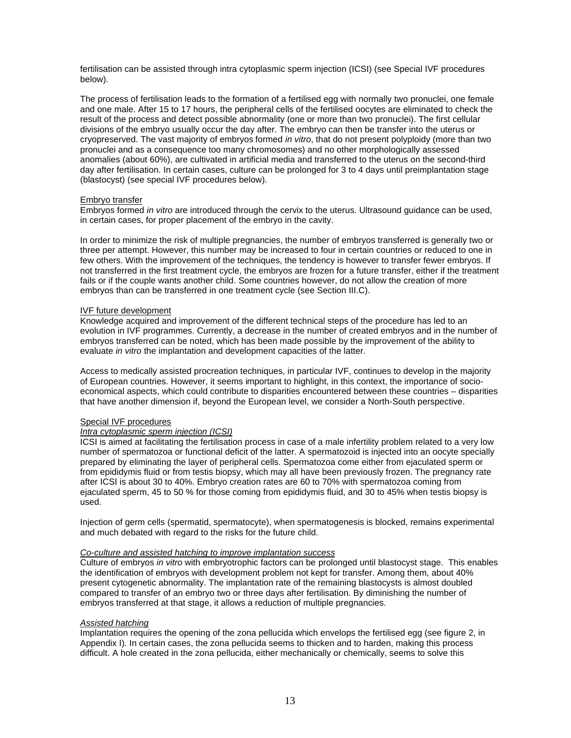fertilisation can be assisted through intra cytoplasmic sperm injection (ICSI) (see Special IVF procedures below).

The process of fertilisation leads to the formation of a fertilised egg with normally two pronuclei, one female and one male. After 15 to 17 hours, the peripheral cells of the fertilised oocytes are eliminated to check the result of the process and detect possible abnormality (one or more than two pronuclei). The first cellular divisions of the embryo usually occur the day after. The embryo can then be transfer into the uterus or cryopreserved. The vast majority of embryos formed *in vitro*, that do not present polyploidy (more than two pronuclei and as a consequence too many chromosomes) and no other morphologically assessed anomalies (about 60%), are cultivated in artificial media and transferred to the uterus on the second-third day after fertilisation. In certain cases, culture can be prolonged for 3 to 4 days until preimplantation stage (blastocyst) (see special IVF procedures below).

#### Embryo transfer

Embryos formed *in vitro* are introduced through the cervix to the uterus. Ultrasound guidance can be used, in certain cases, for proper placement of the embryo in the cavity.

In order to minimize the risk of multiple pregnancies, the number of embryos transferred is generally two or three per attempt. However, this number may be increased to four in certain countries or reduced to one in few others. With the improvement of the techniques, the tendency is however to transfer fewer embryos. If not transferred in the first treatment cycle, the embryos are frozen for a future transfer, either if the treatment fails or if the couple wants another child. Some countries however, do not allow the creation of more embryos than can be transferred in one treatment cycle (see Section III.C).

#### IVF future development

Knowledge acquired and improvement of the different technical steps of the procedure has led to an evolution in IVF programmes. Currently, a decrease in the number of created embryos and in the number of embryos transferred can be noted, which has been made possible by the improvement of the ability to evaluate *in vitro* the implantation and development capacities of the latter.

Access to medically assisted procreation techniques, in particular IVF, continues to develop in the majority of European countries. However, it seems important to highlight, in this context, the importance of socioeconomical aspects, which could contribute to disparities encountered between these countries – disparities that have another dimension if, beyond the European level, we consider a North-South perspective.

#### Special IVF procedures

#### *Intra cytoplasmic sperm injection (ICSI)*

ICSI is aimed at facilitating the fertilisation process in case of a male infertility problem related to a very low number of spermatozoa or functional deficit of the latter. A spermatozoid is injected into an oocyte specially prepared by eliminating the layer of peripheral cells. Spermatozoa come either from ejaculated sperm or from epididymis fluid or from testis biopsy, which may all have been previously frozen. The pregnancy rate after ICSI is about 30 to 40%. Embryo creation rates are 60 to 70% with spermatozoa coming from ejaculated sperm, 45 to 50 % for those coming from epididymis fluid, and 30 to 45% when testis biopsy is used.

Injection of germ cells (spermatid, spermatocyte), when spermatogenesis is blocked, remains experimental and much debated with regard to the risks for the future child.

#### *Co-culture and assisted hatching to improve implantation success*

Culture of embryos *in vitro* with embryotrophic factors can be prolonged until blastocyst stage. This enables the identification of embryos with development problem not kept for transfer. Among them, about 40% present cytogenetic abnormality. The implantation rate of the remaining blastocysts is almost doubled compared to transfer of an embryo two or three days after fertilisation. By diminishing the number of embryos transferred at that stage, it allows a reduction of multiple pregnancies.

#### *Assisted hatching*

Implantation requires the opening of the zona pellucida which envelops the fertilised egg (see figure 2, in Appendix I). In certain cases, the zona pellucida seems to thicken and to harden, making this process difficult. A hole created in the zona pellucida, either mechanically or chemically, seems to solve this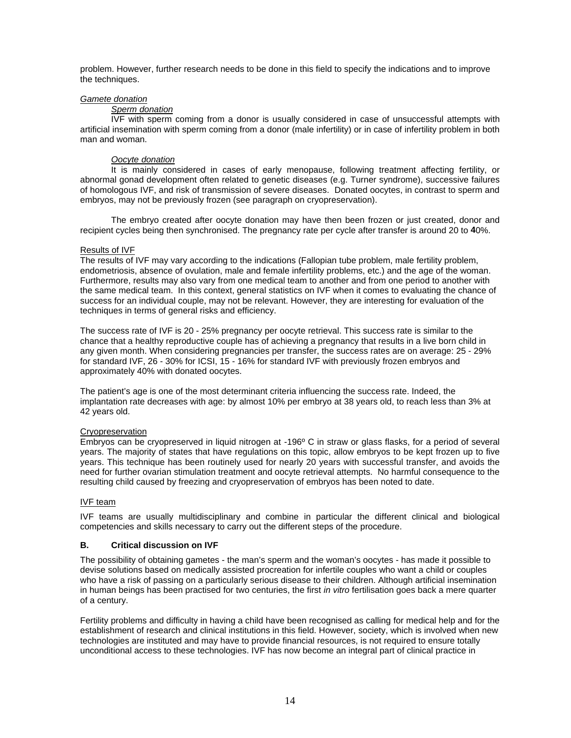problem. However, further research needs to be done in this field to specify the indications and to improve the techniques.

#### *Gamete donation*

#### *Sperm donation*

IVF with sperm coming from a donor is usually considered in case of unsuccessful attempts with artificial insemination with sperm coming from a donor (male infertility) or in case of infertility problem in both man and woman.

#### *Oocyte donation*

It is mainly considered in cases of early menopause, following treatment affecting fertility, or abnormal gonad development often related to genetic diseases (e.g. Turner syndrome), successive failures of homologous IVF, and risk of transmission of severe diseases. Donated oocytes, in contrast to sperm and embryos, may not be previously frozen (see paragraph on cryopreservation).

The embryo created after oocyte donation may have then been frozen or just created, donor and recipient cycles being then synchronised. The pregnancy rate per cycle after transfer is around 20 to **4**0%.

#### Results of IVF

The results of IVF may vary according to the indications (Fallopian tube problem, male fertility problem, endometriosis, absence of ovulation, male and female infertility problems, etc.) and the age of the woman. Furthermore, results may also vary from one medical team to another and from one period to another with the same medical team. In this context, general statistics on IVF when it comes to evaluating the chance of success for an individual couple, may not be relevant. However, they are interesting for evaluation of the techniques in terms of general risks and efficiency.

The success rate of IVF is 20 - 25% pregnancy per oocyte retrieval. This success rate is similar to the chance that a healthy reproductive couple has of achieving a pregnancy that results in a live born child in any given month. When considering pregnancies per transfer, the success rates are on average: 25 - 29% for standard IVF, 26 - 30% for ICSI, 15 - 16% for standard IVF with previously frozen embryos and approximately 40% with donated oocytes.

The patient's age is one of the most determinant criteria influencing the success rate. Indeed, the implantation rate decreases with age: by almost 10% per embryo at 38 years old, to reach less than 3% at 42 years old.

#### Cryopreservation

Embryos can be cryopreserved in liquid nitrogen at -196º C in straw or glass flasks, for a period of several years. The majority of states that have regulations on this topic, allow embryos to be kept frozen up to five years. This technique has been routinely used for nearly 20 years with successful transfer, and avoids the need for further ovarian stimulation treatment and oocyte retrieval attempts. No harmful consequence to the resulting child caused by freezing and cryopreservation of embryos has been noted to date.

#### IVF team

IVF teams are usually multidisciplinary and combine in particular the different clinical and biological competencies and skills necessary to carry out the different steps of the procedure.

#### **B. Critical discussion on IVF**

The possibility of obtaining gametes - the man's sperm and the woman's oocytes - has made it possible to devise solutions based on medically assisted procreation for infertile couples who want a child or couples who have a risk of passing on a particularly serious disease to their children. Although artificial insemination in human beings has been practised for two centuries, the first *in vitro* fertilisation goes back a mere quarter of a century.

Fertility problems and difficulty in having a child have been recognised as calling for medical help and for the establishment of research and clinical institutions in this field. However, society, which is involved when new technologies are instituted and may have to provide financial resources, is not required to ensure totally unconditional access to these technologies. IVF has now become an integral part of clinical practice in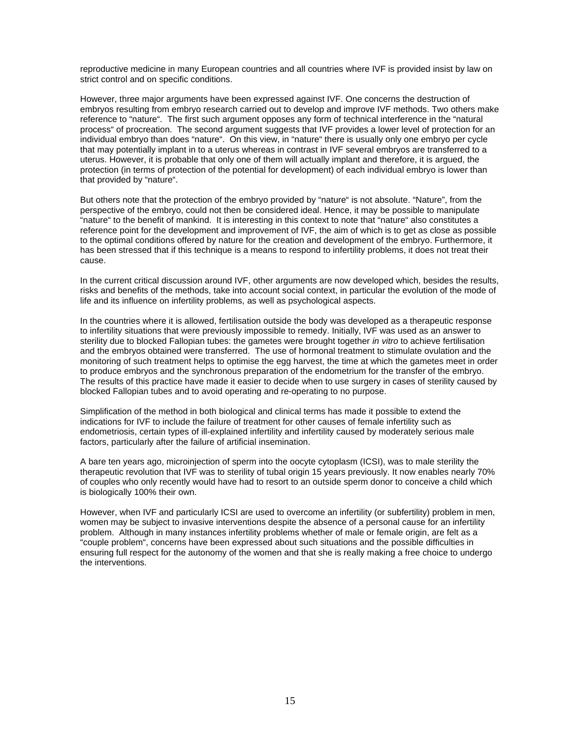reproductive medicine in many European countries and all countries where IVF is provided insist by law on strict control and on specific conditions.

However, three major arguments have been expressed against IVF. One concerns the destruction of embryos resulting from embryo research carried out to develop and improve IVF methods. Two others make reference to "nature". The first such argument opposes any form of technical interference in the "natural process" of procreation. The second argument suggests that IVF provides a lower level of protection for an individual embryo than does "nature". On this view, in "nature" there is usually only one embryo per cycle that may potentially implant in to a uterus whereas in contrast in IVF several embryos are transferred to a uterus. However, it is probable that only one of them will actually implant and therefore, it is argued, the protection (in terms of protection of the potential for development) of each individual embryo is lower than that provided by "nature".

But others note that the protection of the embryo provided by "nature" is not absolute. "Nature", from the perspective of the embryo, could not then be considered ideal. Hence, it may be possible to manipulate "nature" to the benefit of mankind. It is interesting in this context to note that "nature" also constitutes a reference point for the development and improvement of IVF, the aim of which is to get as close as possible to the optimal conditions offered by nature for the creation and development of the embryo. Furthermore, it has been stressed that if this technique is a means to respond to infertility problems, it does not treat their cause.

In the current critical discussion around IVF, other arguments are now developed which, besides the results, risks and benefits of the methods, take into account social context, in particular the evolution of the mode of life and its influence on infertility problems, as well as psychological aspects.

In the countries where it is allowed, fertilisation outside the body was developed as a therapeutic response to infertility situations that were previously impossible to remedy. Initially, IVF was used as an answer to sterility due to blocked Fallopian tubes: the gametes were brought together *in vitro* to achieve fertilisation and the embryos obtained were transferred. The use of hormonal treatment to stimulate ovulation and the monitoring of such treatment helps to optimise the egg harvest, the time at which the gametes meet in order to produce embryos and the synchronous preparation of the endometrium for the transfer of the embryo. The results of this practice have made it easier to decide when to use surgery in cases of sterility caused by blocked Fallopian tubes and to avoid operating and re-operating to no purpose.

Simplification of the method in both biological and clinical terms has made it possible to extend the indications for IVF to include the failure of treatment for other causes of female infertility such as endometriosis, certain types of ill-explained infertility and infertility caused by moderately serious male factors, particularly after the failure of artificial insemination.

A bare ten years ago, microinjection of sperm into the oocyte cytoplasm (ICSI), was to male sterility the therapeutic revolution that IVF was to sterility of tubal origin 15 years previously. It now enables nearly 70% of couples who only recently would have had to resort to an outside sperm donor to conceive a child which is biologically 100% their own.

However, when IVF and particularly ICSI are used to overcome an infertility (or subfertility) problem in men, women may be subject to invasive interventions despite the absence of a personal cause for an infertility problem. Although in many instances infertility problems whether of male or female origin, are felt as a "couple problem", concerns have been expressed about such situations and the possible difficulties in ensuring full respect for the autonomy of the women and that she is really making a free choice to undergo the interventions.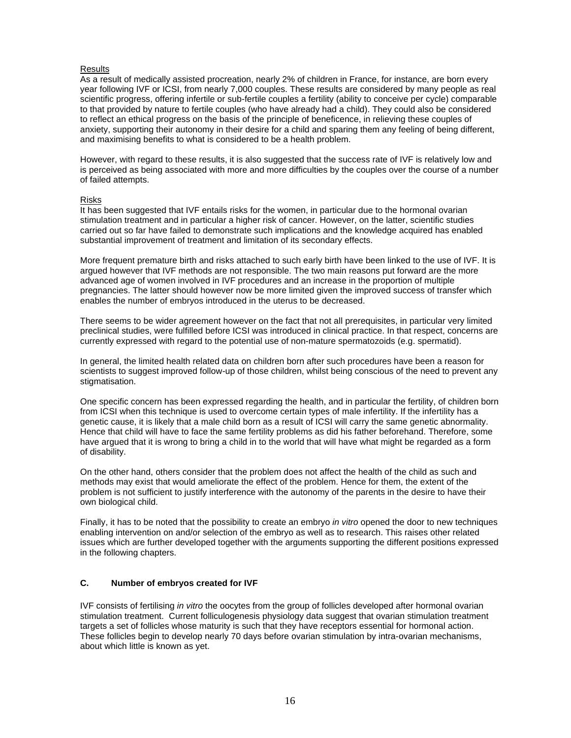#### **Results**

As a result of medically assisted procreation, nearly 2% of children in France, for instance, are born every year following IVF or ICSI, from nearly 7,000 couples. These results are considered by many people as real scientific progress, offering infertile or sub-fertile couples a fertility (ability to conceive per cycle) comparable to that provided by nature to fertile couples (who have already had a child). They could also be considered to reflect an ethical progress on the basis of the principle of beneficence, in relieving these couples of anxiety, supporting their autonomy in their desire for a child and sparing them any feeling of being different, and maximising benefits to what is considered to be a health problem.

However, with regard to these results, it is also suggested that the success rate of IVF is relatively low and is perceived as being associated with more and more difficulties by the couples over the course of a number of failed attempts.

#### Risks

It has been suggested that IVF entails risks for the women, in particular due to the hormonal ovarian stimulation treatment and in particular a higher risk of cancer. However, on the latter, scientific studies carried out so far have failed to demonstrate such implications and the knowledge acquired has enabled substantial improvement of treatment and limitation of its secondary effects.

More frequent premature birth and risks attached to such early birth have been linked to the use of IVF. It is argued however that IVF methods are not responsible. The two main reasons put forward are the more advanced age of women involved in IVF procedures and an increase in the proportion of multiple pregnancies. The latter should however now be more limited given the improved success of transfer which enables the number of embryos introduced in the uterus to be decreased.

There seems to be wider agreement however on the fact that not all prerequisites, in particular very limited preclinical studies, were fulfilled before ICSI was introduced in clinical practice. In that respect, concerns are currently expressed with regard to the potential use of non-mature spermatozoids (e.g. spermatid).

In general, the limited health related data on children born after such procedures have been a reason for scientists to suggest improved follow-up of those children, whilst being conscious of the need to prevent any stigmatisation.

One specific concern has been expressed regarding the health, and in particular the fertility, of children born from ICSI when this technique is used to overcome certain types of male infertility. If the infertility has a genetic cause, it is likely that a male child born as a result of ICSI will carry the same genetic abnormality. Hence that child will have to face the same fertility problems as did his father beforehand. Therefore, some have argued that it is wrong to bring a child in to the world that will have what might be regarded as a form of disability.

On the other hand, others consider that the problem does not affect the health of the child as such and methods may exist that would ameliorate the effect of the problem. Hence for them, the extent of the problem is not sufficient to justify interference with the autonomy of the parents in the desire to have their own biological child.

Finally, it has to be noted that the possibility to create an embryo *in vitro* opened the door to new techniques enabling intervention on and/or selection of the embryo as well as to research. This raises other related issues which are further developed together with the arguments supporting the different positions expressed in the following chapters.

# **C. Number of embryos created for IVF**

IVF consists of fertilising *in vitro* the oocytes from the group of follicles developed after hormonal ovarian stimulation treatment. Current folliculogenesis physiology data suggest that ovarian stimulation treatment targets a set of follicles whose maturity is such that they have receptors essential for hormonal action. These follicles begin to develop nearly 70 days before ovarian stimulation by intra-ovarian mechanisms, about which little is known as yet.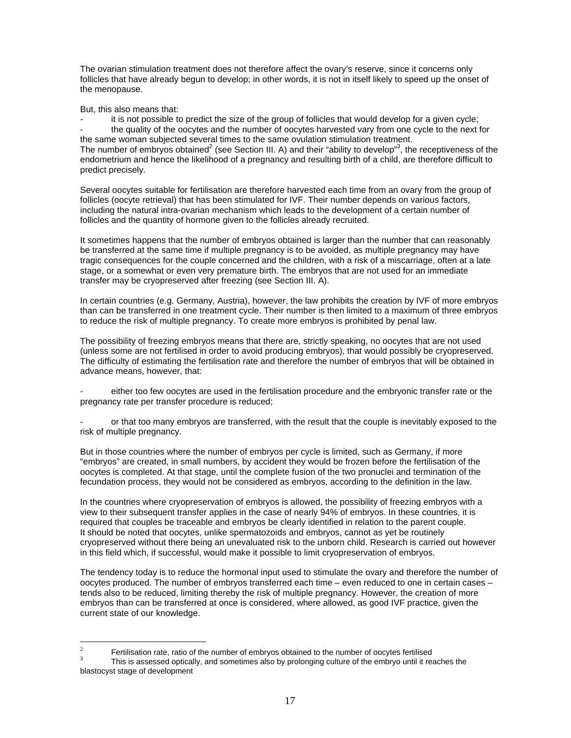The ovarian stimulation treatment does not therefore affect the ovary's reserve, since it concerns only follicles that have already begun to develop; in other words, it is not in itself likely to speed up the onset of the menopause.

But, this also means that:

 $\frac{1}{2}$ 

it is not possible to predict the size of the group of follicles that would develop for a given cycle; the quality of the oocytes and the number of oocytes harvested vary from one cycle to the next for the same woman subjected several times to the same ovulation stimulation treatment. The number of embryos obtained<sup>2</sup> (see Section III. A) and their "ability to develop"<sup>3</sup>, the receptiveness of the endometrium and hence the likelihood of a pregnancy and resulting birth of a child, are therefore difficult to predict precisely.

Several oocytes suitable for fertilisation are therefore harvested each time from an ovary from the group of follicles (oocyte retrieval) that has been stimulated for IVF. Their number depends on various factors, including the natural intra-ovarian mechanism which leads to the development of a certain number of follicles and the quantity of hormone given to the follicles already recruited.

It sometimes happens that the number of embryos obtained is larger than the number that can reasonably be transferred at the same time if multiple pregnancy is to be avoided, as multiple pregnancy may have tragic consequences for the couple concerned and the children, with a risk of a miscarriage, often at a late stage, or a somewhat or even very premature birth. The embryos that are not used for an immediate transfer may be cryopreserved after freezing (see Section III. A).

In certain countries (e.g. Germany, Austria), however, the law prohibits the creation by IVF of more embryos than can be transferred in one treatment cycle. Their number is then limited to a maximum of three embryos to reduce the risk of multiple pregnancy. To create more embryos is prohibited by penal law.

The possibility of freezing embryos means that there are, strictly speaking, no oocytes that are not used (unless some are not fertilised in order to avoid producing embryos), that would possibly be cryopreserved. The difficulty of estimating the fertilisation rate and therefore the number of embryos that will be obtained in advance means, however, that:

either too few oocytes are used in the fertilisation procedure and the embryonic transfer rate or the pregnancy rate per transfer procedure is reduced;

or that too many embryos are transferred, with the result that the couple is inevitably exposed to the risk of multiple pregnancy.

But in those countries where the number of embryos per cycle is limited, such as Germany, if more "embryos" are created, in small numbers, by accident they would be frozen before the fertilisation of the oocytes is completed. At that stage, until the complete fusion of the two pronuclei and termination of the fecundation process, they would not be considered as embryos, according to the definition in the law.

In the countries where cryopreservation of embryos is allowed, the possibility of freezing embryos with a view to their subsequent transfer applies in the case of nearly 94% of embryos. In these countries, it is required that couples be traceable and embryos be clearly identified in relation to the parent couple. It should be noted that oocytes, unlike spermatozoids and embryos, cannot as yet be routinely cryopreserved without there being an unevaluated risk to the unborn child. Research is carried out however in this field which, if successful, would make it possible to limit cryopreservation of embryos.

The tendency today is to reduce the hormonal input used to stimulate the ovary and therefore the number of oocytes produced. The number of embryos transferred each time – even reduced to one in certain cases – tends also to be reduced, limiting thereby the risk of multiple pregnancy. However, the creation of more embryos than can be transferred at once is considered, where allowed, as good IVF practice, given the current state of our knowledge.

Fertilisation rate, ratio of the number of embryos obtained to the number of oocytes fertilised

<sup>3</sup> This is assessed optically, and sometimes also by prolonging culture of the embryo until it reaches the blastocyst stage of development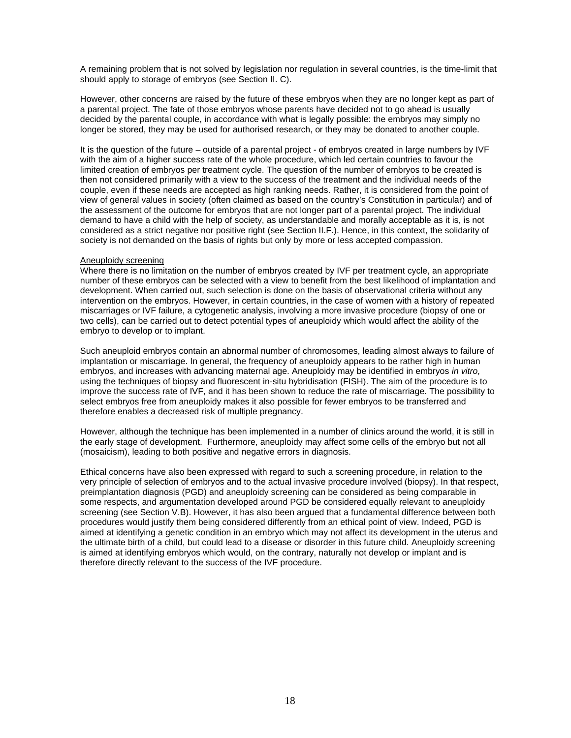A remaining problem that is not solved by legislation nor regulation in several countries, is the time-limit that should apply to storage of embryos (see Section II. C).

However, other concerns are raised by the future of these embryos when they are no longer kept as part of a parental project. The fate of those embryos whose parents have decided not to go ahead is usually decided by the parental couple, in accordance with what is legally possible: the embryos may simply no longer be stored, they may be used for authorised research, or they may be donated to another couple.

It is the question of the future – outside of a parental project - of embryos created in large numbers by IVF with the aim of a higher success rate of the whole procedure, which led certain countries to favour the limited creation of embryos per treatment cycle. The question of the number of embryos to be created is then not considered primarily with a view to the success of the treatment and the individual needs of the couple, even if these needs are accepted as high ranking needs. Rather, it is considered from the point of view of general values in society (often claimed as based on the country's Constitution in particular) and of the assessment of the outcome for embryos that are not longer part of a parental project. The individual demand to have a child with the help of society, as understandable and morally acceptable as it is, is not considered as a strict negative nor positive right (see Section II.F.). Hence, in this context, the solidarity of society is not demanded on the basis of rights but only by more or less accepted compassion.

#### Aneuploidy screening

Where there is no limitation on the number of embryos created by IVF per treatment cycle, an appropriate number of these embryos can be selected with a view to benefit from the best likelihood of implantation and development. When carried out, such selection is done on the basis of observational criteria without any intervention on the embryos. However, in certain countries, in the case of women with a history of repeated miscarriages or IVF failure, a cytogenetic analysis, involving a more invasive procedure (biopsy of one or two cells), can be carried out to detect potential types of aneuploidy which would affect the ability of the embryo to develop or to implant.

Such aneuploid embryos contain an abnormal number of chromosomes, leading almost always to failure of implantation or miscarriage. In general, the frequency of aneuploidy appears to be rather high in human embryos, and increases with advancing maternal age. Aneuploidy may be identified in embryos *in vitro*, using the techniques of biopsy and fluorescent in-situ hybridisation (FISH). The aim of the procedure is to improve the success rate of IVF, and it has been shown to reduce the rate of miscarriage. The possibility to select embryos free from aneuploidy makes it also possible for fewer embryos to be transferred and therefore enables a decreased risk of multiple pregnancy.

However, although the technique has been implemented in a number of clinics around the world, it is still in the early stage of development. Furthermore, aneuploidy may affect some cells of the embryo but not all (mosaicism), leading to both positive and negative errors in diagnosis.

Ethical concerns have also been expressed with regard to such a screening procedure, in relation to the very principle of selection of embryos and to the actual invasive procedure involved (biopsy). In that respect, preimplantation diagnosis (PGD) and aneuploidy screening can be considered as being comparable in some respects, and argumentation developed around PGD be considered equally relevant to aneuploidy screening (see Section V.B). However, it has also been argued that a fundamental difference between both procedures would justify them being considered differently from an ethical point of view. Indeed, PGD is aimed at identifying a genetic condition in an embryo which may not affect its development in the uterus and the ultimate birth of a child, but could lead to a disease or disorder in this future child. Aneuploidy screening is aimed at identifying embryos which would, on the contrary, naturally not develop or implant and is therefore directly relevant to the success of the IVF procedure.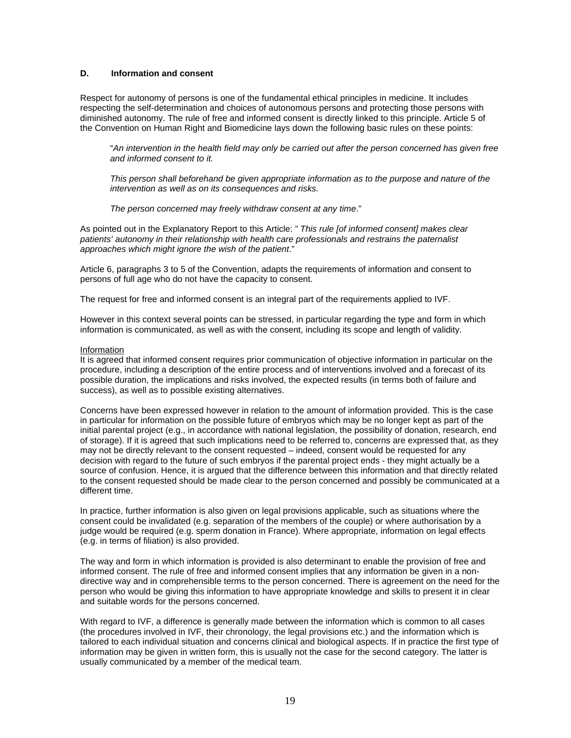# **D. Information and consent**

Respect for autonomy of persons is one of the fundamental ethical principles in medicine. It includes respecting the self-determination and choices of autonomous persons and protecting those persons with diminished autonomy. The rule of free and informed consent is directly linked to this principle. Article 5 of the Convention on Human Right and Biomedicine lays down the following basic rules on these points:

"*An intervention in the health field may only be carried out after the person concerned has given free and informed consent to it.* 

*This person shall beforehand be given appropriate information as to the purpose and nature of the intervention as well as on its consequences and risks.* 

*The person concerned may freely withdraw consent at any time*."

As pointed out in the Explanatory Report to this Article: " *This rule [of informed consent] makes clear patients' autonomy in their relationship with health care professionals and restrains the paternalist approaches which might ignore the wish of the patient*."

Article 6, paragraphs 3 to 5 of the Convention, adapts the requirements of information and consent to persons of full age who do not have the capacity to consent.

The request for free and informed consent is an integral part of the requirements applied to IVF.

However in this context several points can be stressed, in particular regarding the type and form in which information is communicated, as well as with the consent, including its scope and length of validity.

#### Information

It is agreed that informed consent requires prior communication of objective information in particular on the procedure, including a description of the entire process and of interventions involved and a forecast of its possible duration, the implications and risks involved, the expected results (in terms both of failure and success), as well as to possible existing alternatives.

Concerns have been expressed however in relation to the amount of information provided. This is the case in particular for information on the possible future of embryos which may be no longer kept as part of the initial parental project (e.g., in accordance with national legislation, the possibility of donation, research, end of storage). If it is agreed that such implications need to be referred to, concerns are expressed that, as they may not be directly relevant to the consent requested – indeed, consent would be requested for any decision with regard to the future of such embryos if the parental project ends - they might actually be a source of confusion. Hence, it is argued that the difference between this information and that directly related to the consent requested should be made clear to the person concerned and possibly be communicated at a different time.

In practice, further information is also given on legal provisions applicable, such as situations where the consent could be invalidated (e.g. separation of the members of the couple) or where authorisation by a judge would be required (e.g. sperm donation in France). Where appropriate, information on legal effects (e.g. in terms of filiation) is also provided.

The way and form in which information is provided is also determinant to enable the provision of free and informed consent. The rule of free and informed consent implies that any information be given in a nondirective way and in comprehensible terms to the person concerned. There is agreement on the need for the person who would be giving this information to have appropriate knowledge and skills to present it in clear and suitable words for the persons concerned.

With regard to IVF, a difference is generally made between the information which is common to all cases (the procedures involved in IVF, their chronology, the legal provisions etc.) and the information which is tailored to each individual situation and concerns clinical and biological aspects. If in practice the first type of information may be given in written form, this is usually not the case for the second category. The latter is usually communicated by a member of the medical team.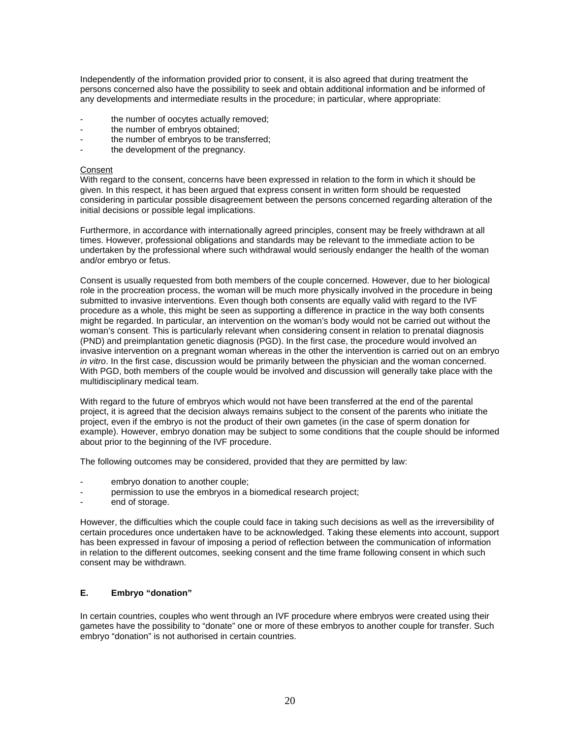Independently of the information provided prior to consent, it is also agreed that during treatment the persons concerned also have the possibility to seek and obtain additional information and be informed of any developments and intermediate results in the procedure; in particular, where appropriate:

- the number of oocytes actually removed;
- the number of embryos obtained;
- the number of embryos to be transferred;
- the development of the pregnancy.

#### Consent

With regard to the consent, concerns have been expressed in relation to the form in which it should be given. In this respect, it has been argued that express consent in written form should be requested considering in particular possible disagreement between the persons concerned regarding alteration of the initial decisions or possible legal implications.

Furthermore, in accordance with internationally agreed principles, consent may be freely withdrawn at all times. However, professional obligations and standards may be relevant to the immediate action to be undertaken by the professional where such withdrawal would seriously endanger the health of the woman and/or embryo or fetus.

Consent is usually requested from both members of the couple concerned. However, due to her biological role in the procreation process, the woman will be much more physically involved in the procedure in being submitted to invasive interventions. Even though both consents are equally valid with regard to the IVF procedure as a whole, this might be seen as supporting a difference in practice in the way both consents might be regarded. In particular, an intervention on the woman's body would not be carried out without the woman's consent. This is particularly relevant when considering consent in relation to prenatal diagnosis (PND) and preimplantation genetic diagnosis (PGD). In the first case, the procedure would involved an invasive intervention on a pregnant woman whereas in the other the intervention is carried out on an embryo *in vitro*. In the first case, discussion would be primarily between the physician and the woman concerned. With PGD, both members of the couple would be involved and discussion will generally take place with the multidisciplinary medical team.

With regard to the future of embryos which would not have been transferred at the end of the parental project, it is agreed that the decision always remains subject to the consent of the parents who initiate the project, even if the embryo is not the product of their own gametes (in the case of sperm donation for example). However, embryo donation may be subject to some conditions that the couple should be informed about prior to the beginning of the IVF procedure.

The following outcomes may be considered, provided that they are permitted by law:

- embryo donation to another couple;
- permission to use the embryos in a biomedical research project;
- end of storage.

However, the difficulties which the couple could face in taking such decisions as well as the irreversibility of certain procedures once undertaken have to be acknowledged. Taking these elements into account, support has been expressed in favour of imposing a period of reflection between the communication of information in relation to the different outcomes, seeking consent and the time frame following consent in which such consent may be withdrawn.

#### **E. Embryo "donation"**

In certain countries, couples who went through an IVF procedure where embryos were created using their gametes have the possibility to "donate" one or more of these embryos to another couple for transfer. Such embryo "donation" is not authorised in certain countries.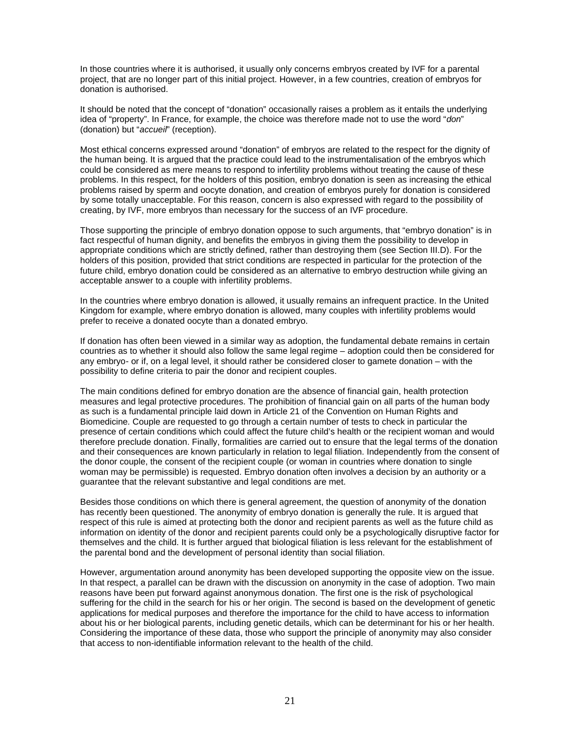In those countries where it is authorised, it usually only concerns embryos created by IVF for a parental project, that are no longer part of this initial project. However, in a few countries, creation of embryos for donation is authorised.

It should be noted that the concept of "donation" occasionally raises a problem as it entails the underlying idea of "property". In France, for example, the choice was therefore made not to use the word "*don*" (donation) but "*accueil*" (reception).

Most ethical concerns expressed around "donation" of embryos are related to the respect for the dignity of the human being. It is argued that the practice could lead to the instrumentalisation of the embryos which could be considered as mere means to respond to infertility problems without treating the cause of these problems. In this respect, for the holders of this position, embryo donation is seen as increasing the ethical problems raised by sperm and oocyte donation, and creation of embryos purely for donation is considered by some totally unacceptable. For this reason, concern is also expressed with regard to the possibility of creating, by IVF, more embryos than necessary for the success of an IVF procedure.

Those supporting the principle of embryo donation oppose to such arguments, that "embryo donation" is in fact respectful of human dignity, and benefits the embryos in giving them the possibility to develop in appropriate conditions which are strictly defined, rather than destroying them (see Section III.D). For the holders of this position, provided that strict conditions are respected in particular for the protection of the future child, embryo donation could be considered as an alternative to embryo destruction while giving an acceptable answer to a couple with infertility problems.

In the countries where embryo donation is allowed, it usually remains an infrequent practice. In the United Kingdom for example, where embryo donation is allowed, many couples with infertility problems would prefer to receive a donated oocyte than a donated embryo.

If donation has often been viewed in a similar way as adoption, the fundamental debate remains in certain countries as to whether it should also follow the same legal regime – adoption could then be considered for any embryo- or if, on a legal level, it should rather be considered closer to gamete donation – with the possibility to define criteria to pair the donor and recipient couples.

The main conditions defined for embryo donation are the absence of financial gain, health protection measures and legal protective procedures. The prohibition of financial gain on all parts of the human body as such is a fundamental principle laid down in Article 21 of the Convention on Human Rights and Biomedicine*.* Couple are requested to go through a certain number of tests to check in particular the presence of certain conditions which could affect the future child's health or the recipient woman and would therefore preclude donation. Finally, formalities are carried out to ensure that the legal terms of the donation and their consequences are known particularly in relation to legal filiation. Independently from the consent of the donor couple, the consent of the recipient couple (or woman in countries where donation to single woman may be permissible) is requested. Embryo donation often involves a decision by an authority or a guarantee that the relevant substantive and legal conditions are met.

Besides those conditions on which there is general agreement, the question of anonymity of the donation has recently been questioned. The anonymity of embryo donation is generally the rule. It is argued that respect of this rule is aimed at protecting both the donor and recipient parents as well as the future child as information on identity of the donor and recipient parents could only be a psychologically disruptive factor for themselves and the child. It is further argued that biological filiation is less relevant for the establishment of the parental bond and the development of personal identity than social filiation.

However, argumentation around anonymity has been developed supporting the opposite view on the issue. In that respect, a parallel can be drawn with the discussion on anonymity in the case of adoption. Two main reasons have been put forward against anonymous donation. The first one is the risk of psychological suffering for the child in the search for his or her origin. The second is based on the development of genetic applications for medical purposes and therefore the importance for the child to have access to information about his or her biological parents, including genetic details, which can be determinant for his or her health. Considering the importance of these data, those who support the principle of anonymity may also consider that access to non-identifiable information relevant to the health of the child.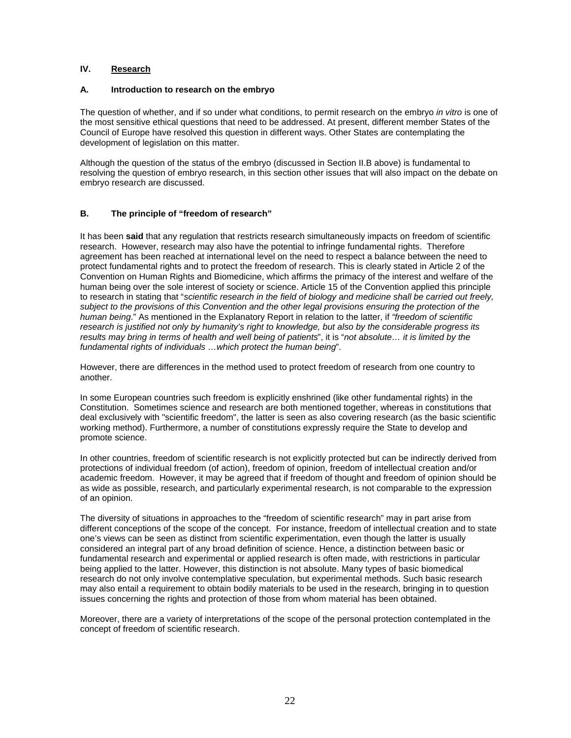#### **IV. Research**

#### **A. Introduction to research on the embryo**

The question of whether, and if so under what conditions, to permit research on the embryo *in vitro* is one of the most sensitive ethical questions that need to be addressed. At present, different member States of the Council of Europe have resolved this question in different ways. Other States are contemplating the development of legislation on this matter.

Although the question of the status of the embryo (discussed in Section II.B above) is fundamental to resolving the question of embryo research, in this section other issues that will also impact on the debate on embryo research are discussed.

#### **B. The principle of "freedom of research"**

It has been **said** that any regulation that restricts research simultaneously impacts on freedom of scientific research. However, research may also have the potential to infringe fundamental rights. Therefore agreement has been reached at international level on the need to respect a balance between the need to protect fundamental rights and to protect the freedom of research. This is clearly stated in Article 2 of the Convention on Human Rights and Biomedicine, which affirms the primacy of the interest and welfare of the human being over the sole interest of society or science. Article 15 of the Convention applied this principle to research in stating that "*scientific research in the field of biology and medicine shall be carried out freely, subject to the provisions of this Convention and the other legal provisions ensuring the protection of the human being*." As mentioned in the Explanatory Report in relation to the latter, if *"freedom of scientific research is justified not only by humanity's right to knowledge, but also by the considerable progress its results may bring in terms of health and well being of patients*", it is "*not absolute… it is limited by the fundamental rights of individuals …which protect the human being*".

However, there are differences in the method used to protect freedom of research from one country to another.

In some European countries such freedom is explicitly enshrined (like other fundamental rights) in the Constitution. Sometimes science and research are both mentioned together, whereas in constitutions that deal exclusively with "scientific freedom", the latter is seen as also covering research (as the basic scientific working method). Furthermore, a number of constitutions expressly require the State to develop and promote science.

In other countries, freedom of scientific research is not explicitly protected but can be indirectly derived from protections of individual freedom (of action), freedom of opinion, freedom of intellectual creation and/or academic freedom. However, it may be agreed that if freedom of thought and freedom of opinion should be as wide as possible, research, and particularly experimental research, is not comparable to the expression of an opinion.

The diversity of situations in approaches to the "freedom of scientific research" may in part arise from different conceptions of the scope of the concept. For instance, freedom of intellectual creation and to state one's views can be seen as distinct from scientific experimentation, even though the latter is usually considered an integral part of any broad definition of science. Hence, a distinction between basic or fundamental research and experimental or applied research is often made, with restrictions in particular being applied to the latter. However, this distinction is not absolute. Many types of basic biomedical research do not only involve contemplative speculation, but experimental methods. Such basic research may also entail a requirement to obtain bodily materials to be used in the research, bringing in to question issues concerning the rights and protection of those from whom material has been obtained.

Moreover, there are a variety of interpretations of the scope of the personal protection contemplated in the concept of freedom of scientific research.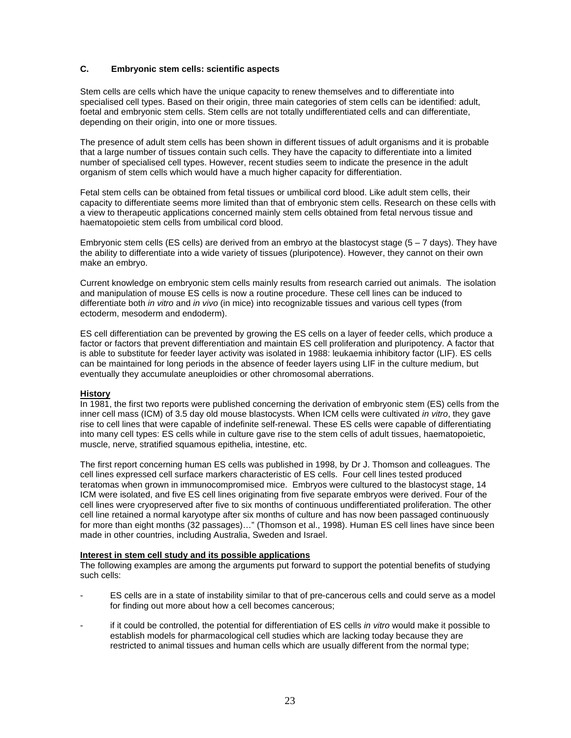#### **C. Embryonic stem cells: scientific aspects**

Stem cells are cells which have the unique capacity to renew themselves and to differentiate into specialised cell types. Based on their origin, three main categories of stem cells can be identified: adult, foetal and embryonic stem cells. Stem cells are not totally undifferentiated cells and can differentiate, depending on their origin, into one or more tissues.

The presence of adult stem cells has been shown in different tissues of adult organisms and it is probable that a large number of tissues contain such cells. They have the capacity to differentiate into a limited number of specialised cell types. However, recent studies seem to indicate the presence in the adult organism of stem cells which would have a much higher capacity for differentiation.

Fetal stem cells can be obtained from fetal tissues or umbilical cord blood. Like adult stem cells, their capacity to differentiate seems more limited than that of embryonic stem cells. Research on these cells with a view to therapeutic applications concerned mainly stem cells obtained from fetal nervous tissue and haematopoietic stem cells from umbilical cord blood.

Embryonic stem cells (ES cells) are derived from an embryo at the blastocyst stage  $(5 - 7 \text{ days})$ . They have the ability to differentiate into a wide variety of tissues (pluripotence). However, they cannot on their own make an embryo.

Current knowledge on embryonic stem cells mainly results from research carried out animals. The isolation and manipulation of mouse ES cells is now a routine procedure. These cell lines can be induced to differentiate both *in vitro* and *in vivo* (in mice) into recognizable tissues and various cell types (from ectoderm, mesoderm and endoderm).

ES cell differentiation can be prevented by growing the ES cells on a layer of feeder cells, which produce a factor or factors that prevent differentiation and maintain ES cell proliferation and pluripotency. A factor that is able to substitute for feeder layer activity was isolated in 1988: leukaemia inhibitory factor (LIF). ES cells can be maintained for long periods in the absence of feeder layers using LIF in the culture medium, but eventually they accumulate aneuploidies or other chromosomal aberrations.

#### **History**

In 1981, the first two reports were published concerning the derivation of embryonic stem (ES) cells from the inner cell mass (ICM) of 3.5 day old mouse blastocysts. When ICM cells were cultivated *in vitro*, they gave rise to cell lines that were capable of indefinite self-renewal. These ES cells were capable of differentiating into many cell types: ES cells while in culture gave rise to the stem cells of adult tissues, haematopoietic, muscle, nerve, stratified squamous epithelia, intestine, etc.

The first report concerning human ES cells was published in 1998, by Dr J. Thomson and colleagues. The cell lines expressed cell surface markers characteristic of ES cells. Four cell lines tested produced teratomas when grown in immunocompromised mice. Embryos were cultured to the blastocyst stage, 14 ICM were isolated, and five ES cell lines originating from five separate embryos were derived. Four of the cell lines were cryopreserved after five to six months of continuous undifferentiated proliferation. The other cell line retained a normal karyotype after six months of culture and has now been passaged continuously for more than eight months (32 passages)…" (Thomson et al., 1998). Human ES cell lines have since been made in other countries, including Australia, Sweden and Israel.

#### **Interest in stem cell study and its possible applications**

The following examples are among the arguments put forward to support the potential benefits of studying such cells:

- ES cells are in a state of instability similar to that of pre-cancerous cells and could serve as a model for finding out more about how a cell becomes cancerous;
- if it could be controlled, the potential for differentiation of ES cells *in vitro* would make it possible to establish models for pharmacological cell studies which are lacking today because they are restricted to animal tissues and human cells which are usually different from the normal type;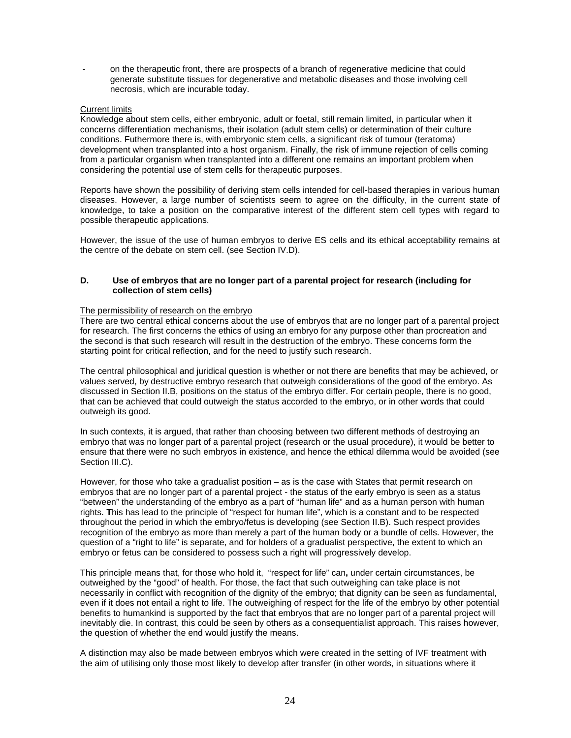- on the therapeutic front, there are prospects of a branch of regenerative medicine that could generate substitute tissues for degenerative and metabolic diseases and those involving cell necrosis, which are incurable today.

#### Current limits

Knowledge about stem cells, either embryonic, adult or foetal, still remain limited, in particular when it concerns differentiation mechanisms, their isolation (adult stem cells) or determination of their culture conditions. Futhermore there is, with embryonic stem cells, a significant risk of tumour (teratoma) development when transplanted into a host organism. Finally, the risk of immune rejection of cells coming from a particular organism when transplanted into a different one remains an important problem when considering the potential use of stem cells for therapeutic purposes.

Reports have shown the possibility of deriving stem cells intended for cell-based therapies in various human diseases. However, a large number of scientists seem to agree on the difficulty, in the current state of knowledge, to take a position on the comparative interest of the different stem cell types with regard to possible therapeutic applications.

However, the issue of the use of human embryos to derive ES cells and its ethical acceptability remains at the centre of the debate on stem cell. (see Section IV.D).

#### **D. Use of embryos that are no longer part of a parental project for research (including for collection of stem cells)**

#### The permissibility of research on the embryo

There are two central ethical concerns about the use of embryos that are no longer part of a parental project for research. The first concerns the ethics of using an embryo for any purpose other than procreation and the second is that such research will result in the destruction of the embryo. These concerns form the starting point for critical reflection, and for the need to justify such research.

The central philosophical and juridical question is whether or not there are benefits that may be achieved, or values served, by destructive embryo research that outweigh considerations of the good of the embryo. As discussed in Section II.B, positions on the status of the embryo differ. For certain people, there is no good, that can be achieved that could outweigh the status accorded to the embryo, or in other words that could outweigh its good.

In such contexts, it is argued, that rather than choosing between two different methods of destroying an embryo that was no longer part of a parental project (research or the usual procedure), it would be better to ensure that there were no such embryos in existence, and hence the ethical dilemma would be avoided (see Section III.C).

However, for those who take a gradualist position – as is the case with States that permit research on embryos that are no longer part of a parental project - the status of the early embryo is seen as a status "between" the understanding of the embryo as a part of "human life" and as a human person with human rights. **T**his has lead to the principle of "respect for human life", which is a constant and to be respected throughout the period in which the embryo/fetus is developing (see Section II.B). Such respect provides recognition of the embryo as more than merely a part of the human body or a bundle of cells. However, the question of a "right to life" is separate, and for holders of a gradualist perspective, the extent to which an embryo or fetus can be considered to possess such a right will progressively develop.

This principle means that, for those who hold it, "respect for life" can**,** under certain circumstances, be outweighed by the "good" of health. For those, the fact that such outweighing can take place is not necessarily in conflict with recognition of the dignity of the embryo; that dignity can be seen as fundamental, even if it does not entail a right to life. The outweighing of respect for the life of the embryo by other potential benefits to humankind is supported by the fact that embryos that are no longer part of a parental project will inevitably die. In contrast, this could be seen by others as a consequentialist approach. This raises however, the question of whether the end would justify the means.

A distinction may also be made between embryos which were created in the setting of IVF treatment with the aim of utilising only those most likely to develop after transfer (in other words, in situations where it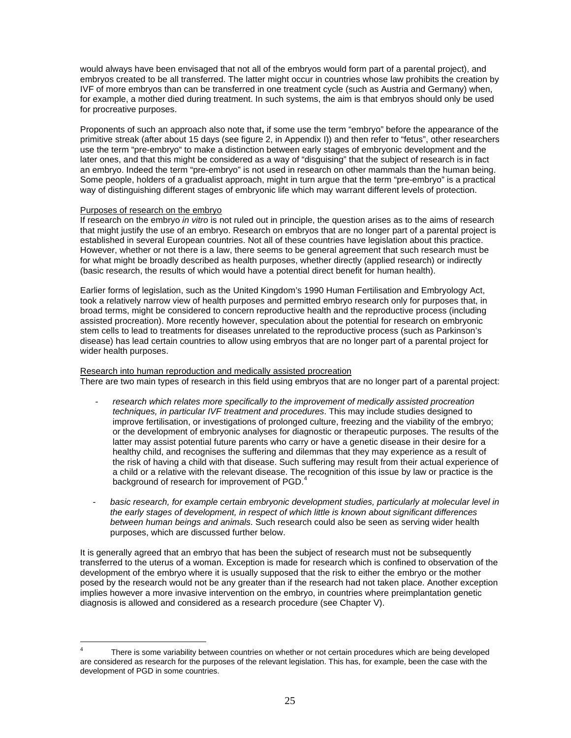would always have been envisaged that not all of the embryos would form part of a parental project), and embryos created to be all transferred. The latter might occur in countries whose law prohibits the creation by IVF of more embryos than can be transferred in one treatment cycle (such as Austria and Germany) when, for example, a mother died during treatment. In such systems, the aim is that embryos should only be used for procreative purposes.

Proponents of such an approach also note that**,** if some use the term "embryo" before the appearance of the primitive streak (after about 15 days (see figure 2, in Appendix I)) and then refer to "fetus", other researchers use the term "pre-embryo" to make a distinction between early stages of embryonic development and the later ones, and that this might be considered as a way of "disguising" that the subject of research is in fact an embryo. Indeed the term "pre-embryo" is not used in research on other mammals than the human being. Some people, holders of a gradualist approach, might in turn argue that the term "pre-embryo" is a practical way of distinguishing different stages of embryonic life which may warrant different levels of protection.

#### Purposes of research on the embryo

 $\overline{a}$ 

If research on the embryo *in vitro* is not ruled out in principle, the question arises as to the aims of research that might justify the use of an embryo. Research on embryos that are no longer part of a parental project is established in several European countries. Not all of these countries have legislation about this practice. However, whether or not there is a law, there seems to be general agreement that such research must be for what might be broadly described as health purposes, whether directly (applied research) or indirectly (basic research, the results of which would have a potential direct benefit for human health).

Earlier forms of legislation, such as the United Kingdom's 1990 Human Fertilisation and Embryology Act, took a relatively narrow view of health purposes and permitted embryo research only for purposes that, in broad terms, might be considered to concern reproductive health and the reproductive process (including assisted procreation). More recently however, speculation about the potential for research on embryonic stem cells to lead to treatments for diseases unrelated to the reproductive process (such as Parkinson's disease) has lead certain countries to allow using embryos that are no longer part of a parental project for wider health purposes.

#### Research into human reproduction and medically assisted procreation

There are two main types of research in this field using embryos that are no longer part of a parental project:

- *- research which relates more specifically to the improvement of medically assisted procreation techniques, in particular IVF treatment and procedures*. This may include studies designed to improve fertilisation, or investigations of prolonged culture, freezing and the viability of the embryo; or the development of embryonic analyses for diagnostic or therapeutic purposes. The results of the latter may assist potential future parents who carry or have a genetic disease in their desire for a healthy child, and recognises the suffering and dilemmas that they may experience as a result of the risk of having a child with that disease. Such suffering may result from their actual experience of a child or a relative with the relevant disease. The recognition of this issue by law or practice is the background of research for improvement of PGD.<sup>4</sup>
- *- basic research, for example certain embryonic development studies, particularly at molecular level in the early stages of development, in respect of which little is known about significant differences between human beings and animals*. Such research could also be seen as serving wider health purposes, which are discussed further below.

It is generally agreed that an embryo that has been the subject of research must not be subsequently transferred to the uterus of a woman. Exception is made for research which is confined to observation of the development of the embryo where it is usually supposed that the risk to either the embryo or the mother posed by the research would not be any greater than if the research had not taken place. Another exception implies however a more invasive intervention on the embryo, in countries where preimplantation genetic diagnosis is allowed and considered as a research procedure (see Chapter V).

<sup>4</sup> There is some variability between countries on whether or not certain procedures which are being developed are considered as research for the purposes of the relevant legislation. This has, for example, been the case with the development of PGD in some countries.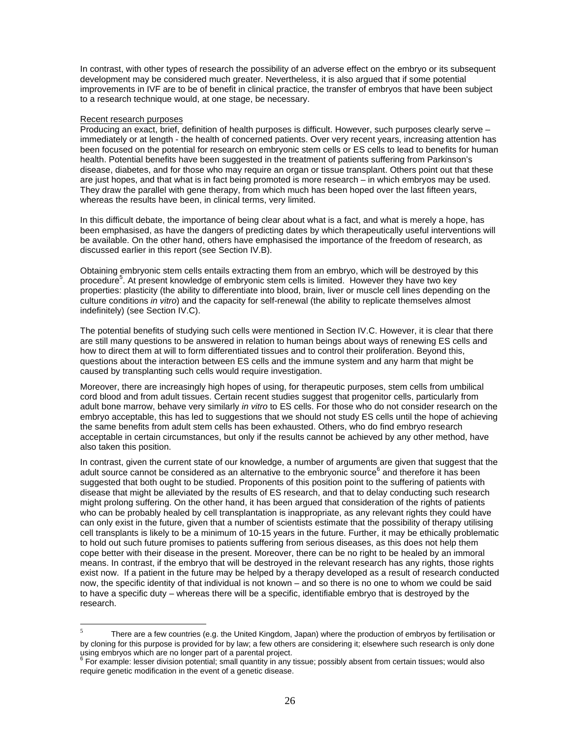In contrast, with other types of research the possibility of an adverse effect on the embryo or its subsequent development may be considered much greater. Nevertheless, it is also argued that if some potential improvements in IVF are to be of benefit in clinical practice, the transfer of embryos that have been subject to a research technique would, at one stage, be necessary.

#### Recent research purposes

 $\overline{a}$ 

Producing an exact, brief, definition of health purposes is difficult. However, such purposes clearly serve – immediately or at length - the health of concerned patients. Over very recent years, increasing attention has been focused on the potential for research on embryonic stem cells or ES cells to lead to benefits for human health. Potential benefits have been suggested in the treatment of patients suffering from Parkinson's disease, diabetes, and for those who may require an organ or tissue transplant. Others point out that these are just hopes, and that what is in fact being promoted is more research – in which embryos may be used. They draw the parallel with gene therapy, from which much has been hoped over the last fifteen years, whereas the results have been, in clinical terms, very limited.

In this difficult debate, the importance of being clear about what is a fact, and what is merely a hope, has been emphasised, as have the dangers of predicting dates by which therapeutically useful interventions will be available. On the other hand, others have emphasised the importance of the freedom of research, as discussed earlier in this report (see Section IV.B).

Obtaining embryonic stem cells entails extracting them from an embryo, which will be destroyed by this procedure<sup>5</sup>. At present knowledge of embryonic stem cells is limited. However they have two key properties: plasticity (the ability to differentiate into blood, brain, liver or muscle cell lines depending on the culture conditions *in vitro*) and the capacity for self-renewal (the ability to replicate themselves almost indefinitely) (see Section IV.C).

The potential benefits of studying such cells were mentioned in Section IV.C. However, it is clear that there are still many questions to be answered in relation to human beings about ways of renewing ES cells and how to direct them at will to form differentiated tissues and to control their proliferation. Beyond this, questions about the interaction between ES cells and the immune system and any harm that might be caused by transplanting such cells would require investigation.

Moreover, there are increasingly high hopes of using, for therapeutic purposes, stem cells from umbilical cord blood and from adult tissues. Certain recent studies suggest that progenitor cells, particularly from adult bone marrow, behave very similarly *in vitro* to ES cells. For those who do not consider research on the embryo acceptable, this has led to suggestions that we should not study ES cells until the hope of achieving the same benefits from adult stem cells has been exhausted. Others, who do find embryo research acceptable in certain circumstances, but only if the results cannot be achieved by any other method, have also taken this position.

In contrast, given the current state of our knowledge, a number of arguments are given that suggest that the adult source cannot be considered as an alternative to the embryonic source<sup>6</sup> and therefore it has been suggested that both ought to be studied. Proponents of this position point to the suffering of patients with disease that might be alleviated by the results of ES research, and that to delay conducting such research might prolong suffering. On the other hand, it has been argued that consideration of the rights of patients who can be probably healed by cell transplantation is inappropriate, as any relevant rights they could have can only exist in the future, given that a number of scientists estimate that the possibility of therapy utilising cell transplants is likely to be a minimum of 10-15 years in the future. Further, it may be ethically problematic to hold out such future promises to patients suffering from serious diseases, as this does not help them cope better with their disease in the present. Moreover, there can be no right to be healed by an immoral means. In contrast, if the embryo that will be destroyed in the relevant research has any rights, those rights exist now. If a patient in the future may be helped by a therapy developed as a result of research conducted now, the specific identity of that individual is not known – and so there is no one to whom we could be said to have a specific duty – whereas there will be a specific, identifiable embryo that is destroyed by the research.

<sup>5</sup> There are a few countries (e.g. the United Kingdom, Japan) where the production of embryos by fertilisation or by cloning for this purpose is provided for by law; a few others are considering it; elsewhere such research is only done using embryos which are no longer part of a parental project.

<sup>&</sup>lt;sup>6</sup> For example: lesser division potential; small quantity in any tissue; possibly absent from certain tissues; would also require genetic modification in the event of a genetic disease.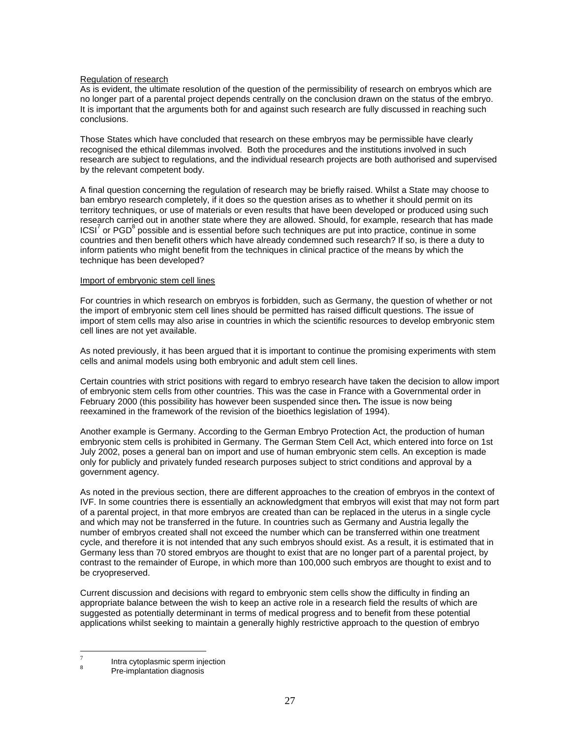#### Regulation of research

As is evident, the ultimate resolution of the question of the permissibility of research on embryos which are no longer part of a parental project depends centrally on the conclusion drawn on the status of the embryo. It is important that the arguments both for and against such research are fully discussed in reaching such conclusions.

Those States which have concluded that research on these embryos may be permissible have clearly recognised the ethical dilemmas involved. Both the procedures and the institutions involved in such research are subject to regulations, and the individual research projects are both authorised and supervised by the relevant competent body.

A final question concerning the regulation of research may be briefly raised. Whilst a State may choose to ban embryo research completely, if it does so the question arises as to whether it should permit on its territory techniques, or use of materials or even results that have been developed or produced using such research carried out in another state where they are allowed. Should, for example, research that has made  $\text{ICSI}^7$  or PGD $^8$  possible and is essential before such techniques are put into practice, continue in some countries and then benefit others which have already condemned such research? If so, is there a duty to inform patients who might benefit from the techniques in clinical practice of the means by which the technique has been developed?

#### Import of embryonic stem cell lines

For countries in which research on embryos is forbidden, such as Germany, the question of whether or not the import of embryonic stem cell lines should be permitted has raised difficult questions. The issue of import of stem cells may also arise in countries in which the scientific resources to develop embryonic stem cell lines are not yet available.

As noted previously, it has been argued that it is important to continue the promising experiments with stem cells and animal models using both embryonic and adult stem cell lines.

Certain countries with strict positions with regard to embryo research have taken the decision to allow import of embryonic stem cells from other countries. This was the case in France with a Governmental order in February 2000 (this possibility has however been suspended since then**.** The issue is now being reexamined in the framework of the revision of the bioethics legislation of 1994).

Another example is Germany. According to the German Embryo Protection Act, the production of human embryonic stem cells is prohibited in Germany. The German Stem Cell Act, which entered into force on 1st July 2002, poses a general ban on import and use of human embryonic stem cells. An exception is made only for publicly and privately funded research purposes subject to strict conditions and approval by a government agency.

As noted in the previous section, there are different approaches to the creation of embryos in the context of IVF. In some countries there is essentially an acknowledgment that embryos will exist that may not form part of a parental project, in that more embryos are created than can be replaced in the uterus in a single cycle and which may not be transferred in the future. In countries such as Germany and Austria legally the number of embryos created shall not exceed the number which can be transferred within one treatment cycle, and therefore it is not intended that any such embryos should exist. As a result, it is estimated that in Germany less than 70 stored embryos are thought to exist that are no longer part of a parental project, by contrast to the remainder of Europe, in which more than 100,000 such embryos are thought to exist and to be cryopreserved.

Current discussion and decisions with regard to embryonic stem cells show the difficulty in finding an appropriate balance between the wish to keep an active role in a research field the results of which are suggested as potentially determinant in terms of medical progress and to benefit from these potential applications whilst seeking to maintain a generally highly restrictive approach to the question of embryo

 $\overline{a}$ 

<sup>7</sup> Intra cytoplasmic sperm injection

<sup>8</sup> Pre-implantation diagnosis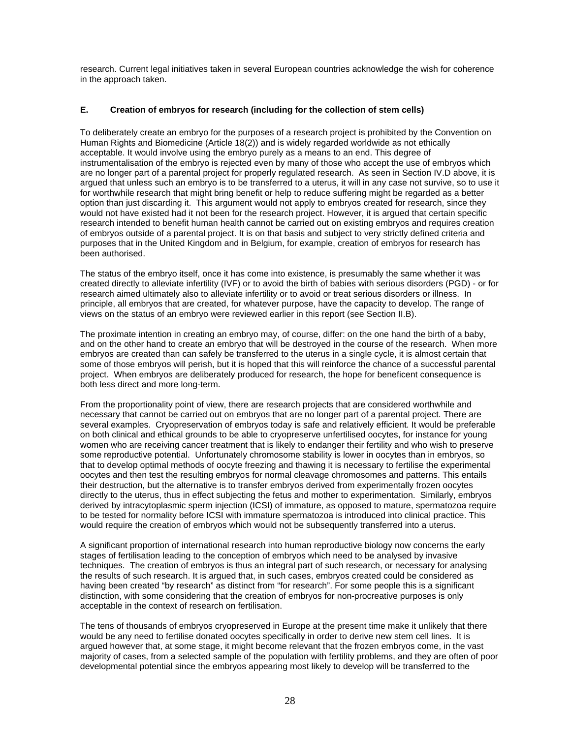research. Current legal initiatives taken in several European countries acknowledge the wish for coherence in the approach taken.

#### **E. Creation of embryos for research (including for the collection of stem cells)**

To deliberately create an embryo for the purposes of a research project is prohibited by the Convention on Human Rights and Biomedicine (Article 18(2)) and is widely regarded worldwide as not ethically acceptable. It would involve using the embryo purely as a means to an end. This degree of instrumentalisation of the embryo is rejected even by many of those who accept the use of embryos which are no longer part of a parental project for properly regulated research. As seen in Section IV.D above, it is argued that unless such an embryo is to be transferred to a uterus, it will in any case not survive, so to use it for worthwhile research that might bring benefit or help to reduce suffering might be regarded as a better option than just discarding it. This argument would not apply to embryos created for research, since they would not have existed had it not been for the research project. However, it is argued that certain specific research intended to benefit human health cannot be carried out on existing embryos and requires creation of embryos outside of a parental project. It is on that basis and subject to very strictly defined criteria and purposes that in the United Kingdom and in Belgium, for example, creation of embryos for research has been authorised.

The status of the embryo itself, once it has come into existence, is presumably the same whether it was created directly to alleviate infertility (IVF) or to avoid the birth of babies with serious disorders (PGD) - or for research aimed ultimately also to alleviate infertility or to avoid or treat serious disorders or illness. In principle, all embryos that are created, for whatever purpose, have the capacity to develop. The range of views on the status of an embryo were reviewed earlier in this report (see Section II.B).

The proximate intention in creating an embryo may, of course, differ: on the one hand the birth of a baby, and on the other hand to create an embryo that will be destroyed in the course of the research. When more embryos are created than can safely be transferred to the uterus in a single cycle, it is almost certain that some of those embryos will perish, but it is hoped that this will reinforce the chance of a successful parental project. When embryos are deliberately produced for research, the hope for beneficent consequence is both less direct and more long-term.

From the proportionality point of view, there are research projects that are considered worthwhile and necessary that cannot be carried out on embryos that are no longer part of a parental project. There are several examples. Cryopreservation of embryos today is safe and relatively efficient. It would be preferable on both clinical and ethical grounds to be able to cryopreserve unfertilised oocytes, for instance for young women who are receiving cancer treatment that is likely to endanger their fertility and who wish to preserve some reproductive potential. Unfortunately chromosome stability is lower in oocytes than in embryos, so that to develop optimal methods of oocyte freezing and thawing it is necessary to fertilise the experimental oocytes and then test the resulting embryos for normal cleavage chromosomes and patterns. This entails their destruction, but the alternative is to transfer embryos derived from experimentally frozen oocytes directly to the uterus, thus in effect subjecting the fetus and mother to experimentation. Similarly, embryos derived by intracytoplasmic sperm injection (ICSI) of immature, as opposed to mature, spermatozoa require to be tested for normality before ICSI with immature spermatozoa is introduced into clinical practice. This would require the creation of embryos which would not be subsequently transferred into a uterus.

A significant proportion of international research into human reproductive biology now concerns the early stages of fertilisation leading to the conception of embryos which need to be analysed by invasive techniques. The creation of embryos is thus an integral part of such research, or necessary for analysing the results of such research. It is argued that, in such cases, embryos created could be considered as having been created "by research" as distinct from "for research". For some people this is a significant distinction, with some considering that the creation of embryos for non-procreative purposes is only acceptable in the context of research on fertilisation.

The tens of thousands of embryos cryopreserved in Europe at the present time make it unlikely that there would be any need to fertilise donated oocytes specifically in order to derive new stem cell lines. It is argued however that, at some stage, it might become relevant that the frozen embryos come, in the vast majority of cases, from a selected sample of the population with fertility problems, and they are often of poor developmental potential since the embryos appearing most likely to develop will be transferred to the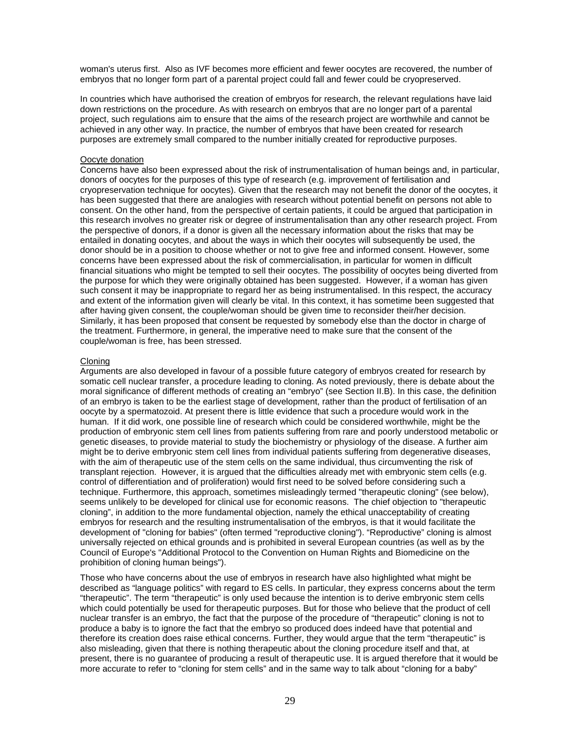woman's uterus first. Also as IVF becomes more efficient and fewer oocytes are recovered, the number of embryos that no longer form part of a parental project could fall and fewer could be cryopreserved.

In countries which have authorised the creation of embryos for research, the relevant regulations have laid down restrictions on the procedure. As with research on embryos that are no longer part of a parental project, such regulations aim to ensure that the aims of the research project are worthwhile and cannot be achieved in any other way. In practice, the number of embryos that have been created for research purposes are extremely small compared to the number initially created for reproductive purposes.

#### Oocyte donation

Concerns have also been expressed about the risk of instrumentalisation of human beings and, in particular, donors of oocytes for the purposes of this type of research (e.g. improvement of fertilisation and cryopreservation technique for oocytes). Given that the research may not benefit the donor of the oocytes, it has been suggested that there are analogies with research without potential benefit on persons not able to consent. On the other hand, from the perspective of certain patients, it could be argued that participation in this research involves no greater risk or degree of instrumentalisation than any other research project. From the perspective of donors, if a donor is given all the necessary information about the risks that may be entailed in donating oocytes, and about the ways in which their oocytes will subsequently be used, the donor should be in a position to choose whether or not to give free and informed consent. However, some concerns have been expressed about the risk of commercialisation, in particular for women in difficult financial situations who might be tempted to sell their oocytes. The possibility of oocytes being diverted from the purpose for which they were originally obtained has been suggested. However, if a woman has given such consent it may be inappropriate to regard her as being instrumentalised. In this respect, the accuracy and extent of the information given will clearly be vital. In this context, it has sometime been suggested that after having given consent, the couple/woman should be given time to reconsider their/her decision. Similarly, it has been proposed that consent be requested by somebody else than the doctor in charge of the treatment. Furthermore, in general, the imperative need to make sure that the consent of the couple/woman is free, has been stressed.

#### Cloning

Arguments are also developed in favour of a possible future category of embryos created for research by somatic cell nuclear transfer, a procedure leading to cloning. As noted previously, there is debate about the moral significance of different methods of creating an "embryo" (see Section II.B). In this case, the definition of an embryo is taken to be the earliest stage of development, rather than the product of fertilisation of an oocyte by a spermatozoid. At present there is little evidence that such a procedure would work in the human. If it did work, one possible line of research which could be considered worthwhile, might be the production of embryonic stem cell lines from patients suffering from rare and poorly understood metabolic or genetic diseases, to provide material to study the biochemistry or physiology of the disease. A further aim might be to derive embryonic stem cell lines from individual patients suffering from degenerative diseases, with the aim of therapeutic use of the stem cells on the same individual, thus circumventing the risk of transplant rejection. However, it is argued that the difficulties already met with embryonic stem cells (e.g. control of differentiation and of proliferation) would first need to be solved before considering such a technique. Furthermore, this approach, sometimes misleadingly termed "therapeutic cloning" (see below), seems unlikely to be developed for clinical use for economic reasons. The chief objection to "therapeutic cloning", in addition to the more fundamental objection, namely the ethical unacceptability of creating embryos for research and the resulting instrumentalisation of the embryos, is that it would facilitate the development of "cloning for babies" (often termed "reproductive cloning"). "Reproductive" cloning is almost universally rejected on ethical grounds and is prohibited in several European countries (as well as by the Council of Europe's "Additional Protocol to the Convention on Human Rights and Biomedicine on the prohibition of cloning human beings").

Those who have concerns about the use of embryos in research have also highlighted what might be described as "language politics" with regard to ES cells. In particular, they express concerns about the term "therapeutic". The term "therapeutic" is only used because the intention is to derive embryonic stem cells which could potentially be used for therapeutic purposes. But for those who believe that the product of cell nuclear transfer is an embryo, the fact that the purpose of the procedure of "therapeutic" cloning is not to produce a baby is to ignore the fact that the embryo so produced does indeed have that potential and therefore its creation does raise ethical concerns. Further, they would argue that the term "therapeutic" is also misleading, given that there is nothing therapeutic about the cloning procedure itself and that, at present, there is no guarantee of producing a result of therapeutic use. It is argued therefore that it would be more accurate to refer to "cloning for stem cells" and in the same way to talk about "cloning for a baby"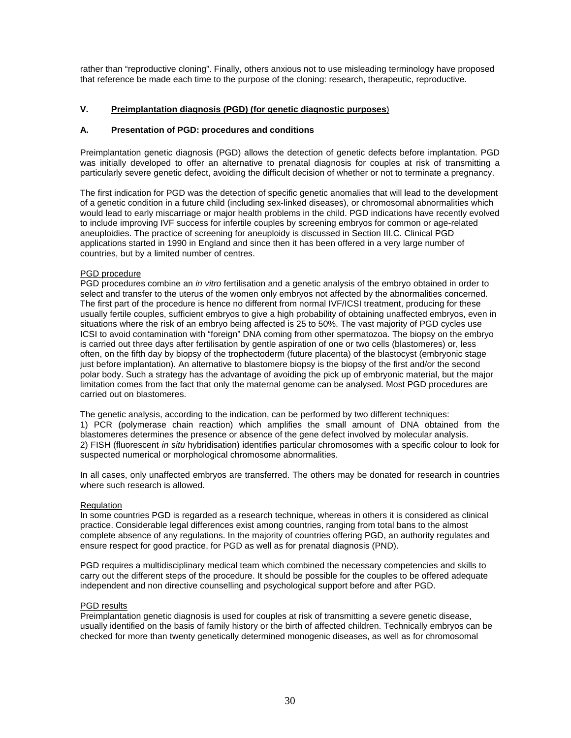rather than "reproductive cloning". Finally, others anxious not to use misleading terminology have proposed that reference be made each time to the purpose of the cloning: research, therapeutic, reproductive.

# **V. Preimplantation diagnosis (PGD) (for genetic diagnostic purposes**)

#### **A. Presentation of PGD: procedures and conditions**

Preimplantation genetic diagnosis (PGD) allows the detection of genetic defects before implantation. PGD was initially developed to offer an alternative to prenatal diagnosis for couples at risk of transmitting a particularly severe genetic defect, avoiding the difficult decision of whether or not to terminate a pregnancy.

The first indication for PGD was the detection of specific genetic anomalies that will lead to the development of a genetic condition in a future child (including sex-linked diseases), or chromosomal abnormalities which would lead to early miscarriage or major health problems in the child. PGD indications have recently evolved to include improving IVF success for infertile couples by screening embryos for common or age-related aneuploidies. The practice of screening for aneuploidy is discussed in Section III.C. Clinical PGD applications started in 1990 in England and since then it has been offered in a very large number of countries, but by a limited number of centres.

#### PGD procedure

PGD procedures combine an *in vitro* fertilisation and a genetic analysis of the embryo obtained in order to select and transfer to the uterus of the women only embryos not affected by the abnormalities concerned. The first part of the procedure is hence no different from normal IVF/ICSI treatment, producing for these usually fertile couples, sufficient embryos to give a high probability of obtaining unaffected embryos, even in situations where the risk of an embryo being affected is 25 to 50%. The vast majority of PGD cycles use ICSI to avoid contamination with "foreign" DNA coming from other spermatozoa. The biopsy on the embryo is carried out three days after fertilisation by gentle aspiration of one or two cells (blastomeres) or, less often, on the fifth day by biopsy of the trophectoderm (future placenta) of the blastocyst (embryonic stage just before implantation). An alternative to blastomere biopsy is the biopsy of the first and/or the second polar body. Such a strategy has the advantage of avoiding the pick up of embryonic material, but the major limitation comes from the fact that only the maternal genome can be analysed. Most PGD procedures are carried out on blastomeres.

The genetic analysis, according to the indication, can be performed by two different techniques: 1) PCR (polymerase chain reaction) which amplifies the small amount of DNA obtained from the blastomeres determines the presence or absence of the gene defect involved by molecular analysis. 2) FISH (fluorescent *in situ* hybridisation) identifies particular chromosomes with a specific colour to look for suspected numerical or morphological chromosome abnormalities.

In all cases, only unaffected embryos are transferred. The others may be donated for research in countries where such research is allowed.

#### **Regulation**

In some countries PGD is regarded as a research technique, whereas in others it is considered as clinical practice. Considerable legal differences exist among countries, ranging from total bans to the almost complete absence of any regulations. In the majority of countries offering PGD, an authority regulates and ensure respect for good practice, for PGD as well as for prenatal diagnosis (PND).

PGD requires a multidisciplinary medical team which combined the necessary competencies and skills to carry out the different steps of the procedure. It should be possible for the couples to be offered adequate independent and non directive counselling and psychological support before and after PGD.

#### PGD results

Preimplantation genetic diagnosis is used for couples at risk of transmitting a severe genetic disease, usually identified on the basis of family history or the birth of affected children. Technically embryos can be checked for more than twenty genetically determined monogenic diseases, as well as for chromosomal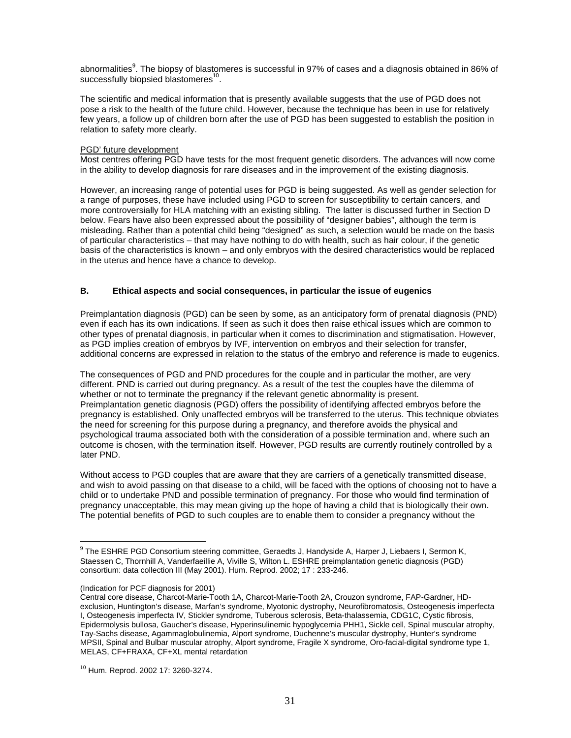abnormalities<sup>9</sup>. The biopsy of blastomeres is successful in 97% of cases and a diagnosis obtained in 86% of successfully biopsied blastomeres<sup>10</sup>.

The scientific and medical information that is presently available suggests that the use of PGD does not pose a risk to the health of the future child. However, because the technique has been in use for relatively few years, a follow up of children born after the use of PGD has been suggested to establish the position in relation to safety more clearly.

#### PGD' future development

Most centres offering PGD have tests for the most frequent genetic disorders. The advances will now come in the ability to develop diagnosis for rare diseases and in the improvement of the existing diagnosis.

However, an increasing range of potential uses for PGD is being suggested. As well as gender selection for a range of purposes, these have included using PGD to screen for susceptibility to certain cancers, and more controversially for HLA matching with an existing sibling. The latter is discussed further in Section D below. Fears have also been expressed about the possibility of "designer babies", although the term is misleading. Rather than a potential child being "designed" as such, a selection would be made on the basis of particular characteristics – that may have nothing to do with health, such as hair colour, if the genetic basis of the characteristics is known – and only embryos with the desired characteristics would be replaced in the uterus and hence have a chance to develop.

#### **B. Ethical aspects and social consequences, in particular the issue of eugenics**

Preimplantation diagnosis (PGD) can be seen by some, as an anticipatory form of prenatal diagnosis (PND) even if each has its own indications. If seen as such it does then raise ethical issues which are common to other types of prenatal diagnosis, in particular when it comes to discrimination and stigmatisation. However, as PGD implies creation of embryos by IVF, intervention on embryos and their selection for transfer, additional concerns are expressed in relation to the status of the embryo and reference is made to eugenics.

The consequences of PGD and PND procedures for the couple and in particular the mother, are very different. PND is carried out during pregnancy. As a result of the test the couples have the dilemma of whether or not to terminate the pregnancy if the relevant genetic abnormality is present. Preimplantation genetic diagnosis (PGD) offers the possibility of identifying affected embryos before the pregnancy is established. Only unaffected embryos will be transferred to the uterus. This technique obviates the need for screening for this purpose during a pregnancy, and therefore avoids the physical and psychological trauma associated both with the consideration of a possible termination and, where such an outcome is chosen, with the termination itself. However, PGD results are currently routinely controlled by a later PND.

Without access to PGD couples that are aware that they are carriers of a genetically transmitted disease, and wish to avoid passing on that disease to a child, will be faced with the options of choosing not to have a child or to undertake PND and possible termination of pregnancy. For those who would find termination of pregnancy unacceptable, this may mean giving up the hope of having a child that is biologically their own. The potential benefits of PGD to such couples are to enable them to consider a pregnancy without the

 $\overline{a}$ 

 $9$  The ESHRE PGD Consortium steering committee, Geraedts J, Handyside A, Harper J, Liebaers I, Sermon K, Staessen C, Thornhill A, Vanderfaeillie A, Viville S, Wilton L. ESHRE preimplantation genetic diagnosis (PGD) consortium: data collection III (May 2001). Hum. Reprod. 2002; 17 : 233-246.

<sup>(</sup>Indication for PCF diagnosis for 2001)

Central core disease, Charcot-Marie-Tooth 1A, Charcot-Marie-Tooth 2A, Crouzon syndrome, FAP-Gardner, HDexclusion, Huntington's disease, Marfan's syndrome, Myotonic dystrophy, Neurofibromatosis, Osteogenesis imperfecta I, Osteogenesis imperfecta IV, Stickler syndrome, Tuberous sclerosis, Beta-thalassemia, CDG1C, Cystic fibrosis, Epidermolysis bullosa, Gaucher's disease, Hyperinsulinemic hypoglycemia PHH1, Sickle cell, Spinal muscular atrophy, Tay-Sachs disease, Agammaglobulinemia, Alport syndrome, Duchenne's muscular dystrophy, Hunter's syndrome MPSII, Spinal and Bulbar muscular atrophy, Alport syndrome, Fragile X syndrome, Oro-facial-digital syndrome type 1, MELAS, CF+FRAXA, CF+XL mental retardation

 $10$  Hum. Reprod. 2002 17: 3260-3274.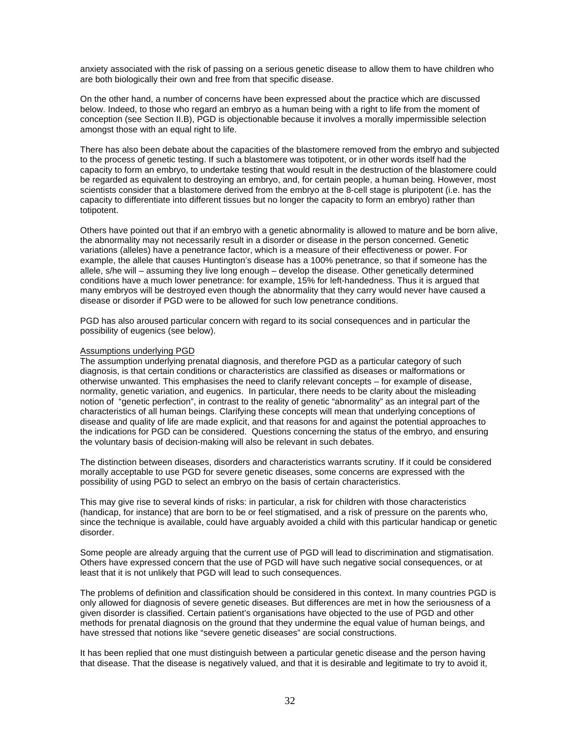anxiety associated with the risk of passing on a serious genetic disease to allow them to have children who are both biologically their own and free from that specific disease.

On the other hand, a number of concerns have been expressed about the practice which are discussed below. Indeed, to those who regard an embryo as a human being with a right to life from the moment of conception (see Section II.B), PGD is objectionable because it involves a morally impermissible selection amongst those with an equal right to life.

There has also been debate about the capacities of the blastomere removed from the embryo and subjected to the process of genetic testing. If such a blastomere was totipotent, or in other words itself had the capacity to form an embryo, to undertake testing that would result in the destruction of the blastomere could be regarded as equivalent to destroying an embryo, and, for certain people, a human being. However, most scientists consider that a blastomere derived from the embryo at the 8-cell stage is pluripotent (i.e. has the capacity to differentiate into different tissues but no longer the capacity to form an embryo) rather than totipotent.

Others have pointed out that if an embryo with a genetic abnormality is allowed to mature and be born alive, the abnormality may not necessarily result in a disorder or disease in the person concerned. Genetic variations (alleles) have a penetrance factor, which is a measure of their effectiveness or power. For example, the allele that causes Huntington's disease has a 100% penetrance, so that if someone has the allele, s/he will – assuming they live long enough – develop the disease. Other genetically determined conditions have a much lower penetrance: for example, 15% for left-handedness. Thus it is argued that many embryos will be destroyed even though the abnormality that they carry would never have caused a disease or disorder if PGD were to be allowed for such low penetrance conditions.

PGD has also aroused particular concern with regard to its social consequences and in particular the possibility of eugenics (see below).

#### Assumptions underlying PGD

The assumption underlying prenatal diagnosis, and therefore PGD as a particular category of such diagnosis, is that certain conditions or characteristics are classified as diseases or malformations or otherwise unwanted. This emphasises the need to clarify relevant concepts – for example of disease, normality, genetic variation, and eugenics. In particular, there needs to be clarity about the misleading notion of "genetic perfection", in contrast to the reality of genetic "abnormality" as an integral part of the characteristics of all human beings. Clarifying these concepts will mean that underlying conceptions of disease and quality of life are made explicit, and that reasons for and against the potential approaches to the indications for PGD can be considered. Questions concerning the status of the embryo, and ensuring the voluntary basis of decision-making will also be relevant in such debates.

The distinction between diseases, disorders and characteristics warrants scrutiny. If it could be considered morally acceptable to use PGD for severe genetic diseases, some concerns are expressed with the possibility of using PGD to select an embryo on the basis of certain characteristics.

This may give rise to several kinds of risks: in particular, a risk for children with those characteristics (handicap, for instance) that are born to be or feel stigmatised, and a risk of pressure on the parents who, since the technique is available, could have arguably avoided a child with this particular handicap or genetic disorder.

Some people are already arguing that the current use of PGD will lead to discrimination and stigmatisation. Others have expressed concern that the use of PGD will have such negative social consequences, or at least that it is not unlikely that PGD will lead to such consequences.

The problems of definition and classification should be considered in this context. In many countries PGD is only allowed for diagnosis of severe genetic diseases. But differences are met in how the seriousness of a given disorder is classified. Certain patient's organisations have objected to the use of PGD and other methods for prenatal diagnosis on the ground that they undermine the equal value of human beings, and have stressed that notions like "severe genetic diseases" are social constructions.

It has been replied that one must distinguish between a particular genetic disease and the person having that disease. That the disease is negatively valued, and that it is desirable and legitimate to try to avoid it,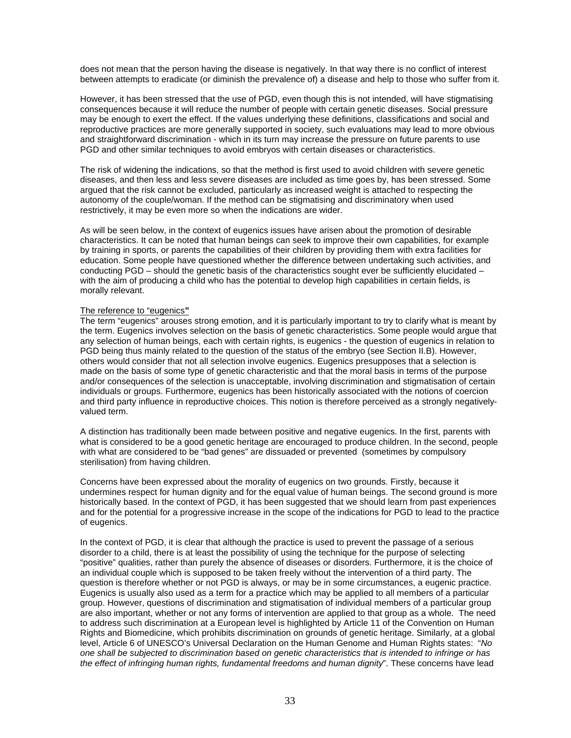does not mean that the person having the disease is negatively. In that way there is no conflict of interest between attempts to eradicate (or diminish the prevalence of) a disease and help to those who suffer from it.

However, it has been stressed that the use of PGD, even though this is not intended, will have stigmatising consequences because it will reduce the number of people with certain genetic diseases. Social pressure may be enough to exert the effect. If the values underlying these definitions, classifications and social and reproductive practices are more generally supported in society, such evaluations may lead to more obvious and straightforward discrimination - which in its turn may increase the pressure on future parents to use PGD and other similar techniques to avoid embryos with certain diseases or characteristics.

The risk of widening the indications, so that the method is first used to avoid children with severe genetic diseases, and then less and less severe diseases are included as time goes by, has been stressed. Some argued that the risk cannot be excluded, particularly as increased weight is attached to respecting the autonomy of the couple/woman. If the method can be stigmatising and discriminatory when used restrictively, it may be even more so when the indications are wider.

As will be seen below, in the context of eugenics issues have arisen about the promotion of desirable characteristics. It can be noted that human beings can seek to improve their own capabilities, for example by training in sports, or parents the capabilities of their children by providing them with extra facilities for education. Some people have questioned whether the difference between undertaking such activities, and conducting PGD – should the genetic basis of the characteristics sought ever be sufficiently elucidated – with the aim of producing a child who has the potential to develop high capabilities in certain fields, is morally relevant.

#### The reference to "eugenics**"**

The term "eugenics" arouses strong emotion, and it is particularly important to try to clarify what is meant by the term. Eugenics involves selection on the basis of genetic characteristics. Some people would argue that any selection of human beings, each with certain rights, is eugenics - the question of eugenics in relation to PGD being thus mainly related to the question of the status of the embryo (see Section II.B). However, others would consider that not all selection involve eugenics. Eugenics presupposes that a selection is made on the basis of some type of genetic characteristic and that the moral basis in terms of the purpose and/or consequences of the selection is unacceptable, involving discrimination and stigmatisation of certain individuals or groups. Furthermore, eugenics has been historically associated with the notions of coercion and third party influence in reproductive choices. This notion is therefore perceived as a strongly negativelyvalued term.

A distinction has traditionally been made between positive and negative eugenics. In the first, parents with what is considered to be a good genetic heritage are encouraged to produce children. In the second, people with what are considered to be "bad genes" are dissuaded or prevented (sometimes by compulsory sterilisation) from having children.

Concerns have been expressed about the morality of eugenics on two grounds. Firstly, because it undermines respect for human dignity and for the equal value of human beings. The second ground is more historically based. In the context of PGD, it has been suggested that we should learn from past experiences and for the potential for a progressive increase in the scope of the indications for PGD to lead to the practice of eugenics.

In the context of PGD, it is clear that although the practice is used to prevent the passage of a serious disorder to a child, there is at least the possibility of using the technique for the purpose of selecting "positive" qualities, rather than purely the absence of diseases or disorders. Furthermore, it is the choice of an individual couple which is supposed to be taken freely without the intervention of a third party. The question is therefore whether or not PGD is always, or may be in some circumstances, a eugenic practice. Eugenics is usually also used as a term for a practice which may be applied to all members of a particular group. However, questions of discrimination and stigmatisation of individual members of a particular group are also important, whether or not any forms of intervention are applied to that group as a whole. The need to address such discrimination at a European level is highlighted by Article 11 of the Convention on Human Rights and Biomedicine, which prohibits discrimination on grounds of genetic heritage. Similarly, at a global level, Article 6 of UNESCO's Universal Declaration on the Human Genome and Human Rights states: "*No one shall be subjected to discrimination based on genetic characteristics that is intended to infringe or has the effect of infringing human rights, fundamental freedoms and human dignity*". These concerns have lead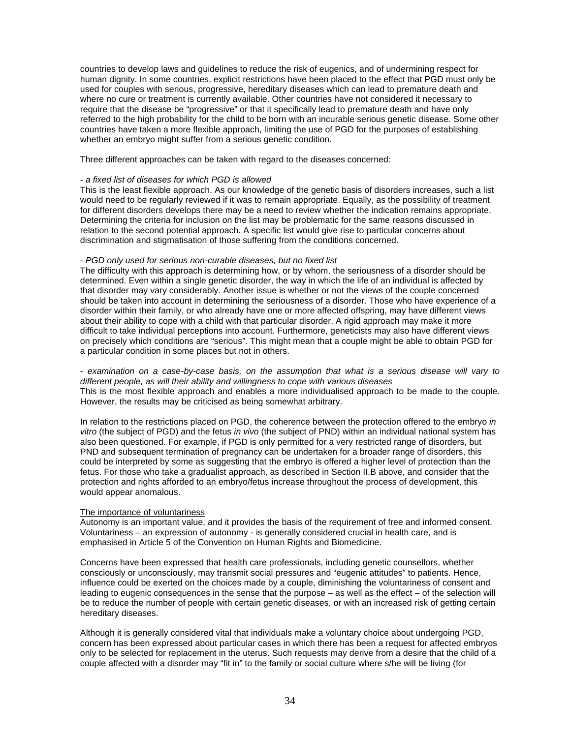countries to develop laws and guidelines to reduce the risk of eugenics, and of undermining respect for human dignity. In some countries, explicit restrictions have been placed to the effect that PGD must only be used for couples with serious, progressive, hereditary diseases which can lead to premature death and where no cure or treatment is currently available. Other countries have not considered it necessary to require that the disease be "progressive" or that it specifically lead to premature death and have only referred to the high probability for the child to be born with an incurable serious genetic disease. Some other countries have taken a more flexible approach, limiting the use of PGD for the purposes of establishing whether an embryo might suffer from a serious genetic condition.

Three different approaches can be taken with regard to the diseases concerned:

#### - *a fixed list of diseases for which PGD is allowed*

This is the least flexible approach. As our knowledge of the genetic basis of disorders increases, such a list would need to be regularly reviewed if it was to remain appropriate. Equally, as the possibility of treatment for different disorders develops there may be a need to review whether the indication remains appropriate. Determining the criteria for inclusion on the list may be problematic for the same reasons discussed in relation to the second potential approach. A specific list would give rise to particular concerns about discrimination and stigmatisation of those suffering from the conditions concerned.

#### - *PGD only used for serious non-curable diseases, but no fixed list*

The difficulty with this approach is determining how, or by whom, the seriousness of a disorder should be determined. Even within a single genetic disorder, the way in which the life of an individual is affected by that disorder may vary considerably. Another issue is whether or not the views of the couple concerned should be taken into account in determining the seriousness of a disorder. Those who have experience of a disorder within their family, or who already have one or more affected offspring, may have different views about their ability to cope with a child with that particular disorder. A rigid approach may make it more difficult to take individual perceptions into account. Furthermore, geneticists may also have different views on precisely which conditions are "serious". This might mean that a couple might be able to obtain PGD for a particular condition in some places but not in others.

- *examination on a case-by-case basis, on the assumption that what is a serious disease will vary to different people, as will their ability and willingness to cope with various diseases* This is the most flexible approach and enables a more individualised approach to be made to the couple. However, the results may be criticised as being somewhat arbitrary.

In relation to the restrictions placed on PGD, the coherence between the protection offered to the embryo *in vitro* (the subject of PGD) and the fetus *in vivo* (the subject of PND) within an individual national system has also been questioned. For example, if PGD is only permitted for a very restricted range of disorders, but PND and subsequent termination of pregnancy can be undertaken for a broader range of disorders, this could be interpreted by some as suggesting that the embryo is offered a higher level of protection than the fetus. For those who take a gradualist approach, as described in Section II.B above, and consider that the protection and rights afforded to an embryo/fetus increase throughout the process of development, this would appear anomalous.

#### The importance of voluntariness

Autonomy is an important value, and it provides the basis of the requirement of free and informed consent. Voluntariness – an expression of autonomy - is generally considered crucial in health care, and is emphasised in Article 5 of the Convention on Human Rights and Biomedicine.

Concerns have been expressed that health care professionals, including genetic counsellors, whether consciously or unconsciously, may transmit social pressures and "eugenic attitudes" to patients. Hence, influence could be exerted on the choices made by a couple, diminishing the voluntariness of consent and leading to eugenic consequences in the sense that the purpose – as well as the effect – of the selection will be to reduce the number of people with certain genetic diseases, or with an increased risk of getting certain hereditary diseases.

Although it is generally considered vital that individuals make a voluntary choice about undergoing PGD, concern has been expressed about particular cases in which there has been a request for affected embryos only to be selected for replacement in the uterus. Such requests may derive from a desire that the child of a couple affected with a disorder may "fit in" to the family or social culture where s/he will be living (for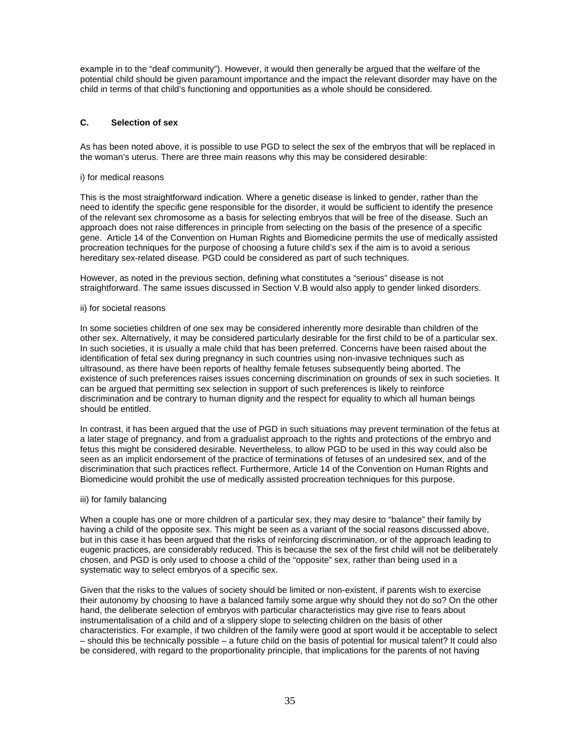example in to the "deaf community"). However, it would then generally be argued that the welfare of the potential child should be given paramount importance and the impact the relevant disorder may have on the child in terms of that child's functioning and opportunities as a whole should be considered.

# **C. Selection of sex**

As has been noted above, it is possible to use PGD to select the sex of the embryos that will be replaced in the woman's uterus. There are three main reasons why this may be considered desirable:

#### i) for medical reasons

This is the most straightforward indication. Where a genetic disease is linked to gender, rather than the need to identify the specific gene responsible for the disorder, it would be sufficient to identify the presence of the relevant sex chromosome as a basis for selecting embryos that will be free of the disease. Such an approach does not raise differences in principle from selecting on the basis of the presence of a specific gene. Article 14 of the Convention on Human Rights and Biomedicine permits the use of medically assisted procreation techniques for the purpose of choosing a future child's sex if the aim is to avoid a serious hereditary sex-related disease. PGD could be considered as part of such techniques.

However, as noted in the previous section, defining what constitutes a "serious" disease is not straightforward. The same issues discussed in Section V.B would also apply to gender linked disorders.

#### ii) for societal reasons

In some societies children of one sex may be considered inherently more desirable than children of the other sex. Alternatively, it may be considered particularly desirable for the first child to be of a particular sex. In such societies, it is usually a male child that has been preferred. Concerns have been raised about the identification of fetal sex during pregnancy in such countries using non-invasive techniques such as ultrasound, as there have been reports of healthy female fetuses subsequently being aborted. The existence of such preferences raises issues concerning discrimination on grounds of sex in such societies. It can be argued that permitting sex selection in support of such preferences is likely to reinforce discrimination and be contrary to human dignity and the respect for equality to which all human beings should be entitled.

In contrast, it has been argued that the use of PGD in such situations may prevent termination of the fetus at a later stage of pregnancy, and from a gradualist approach to the rights and protections of the embryo and fetus this might be considered desirable. Nevertheless, to allow PGD to be used in this way could also be seen as an implicit endorsement of the practice of terminations of fetuses of an undesired sex, and of the discrimination that such practices reflect. Furthermore, Article 14 of the Convention on Human Rights and Biomedicine would prohibit the use of medically assisted procreation techniques for this purpose.

#### iii) for family balancing

When a couple has one or more children of a particular sex, they may desire to "balance" their family by having a child of the opposite sex. This might be seen as a variant of the social reasons discussed above, but in this case it has been argued that the risks of reinforcing discrimination, or of the approach leading to eugenic practices, are considerably reduced. This is because the sex of the first child will not be deliberately chosen, and PGD is only used to choose a child of the "opposite" sex, rather than being used in a systematic way to select embryos of a specific sex.

Given that the risks to the values of society should be limited or non-existent, if parents wish to exercise their autonomy by choosing to have a balanced family some argue why should they not do so? On the other hand, the deliberate selection of embryos with particular characteristics may give rise to fears about instrumentalisation of a child and of a slippery slope to selecting children on the basis of other characteristics. For example, if two children of the family were good at sport would it be acceptable to select – should this be technically possible – a future child on the basis of potential for musical talent? It could also be considered, with regard to the proportionality principle, that implications for the parents of not having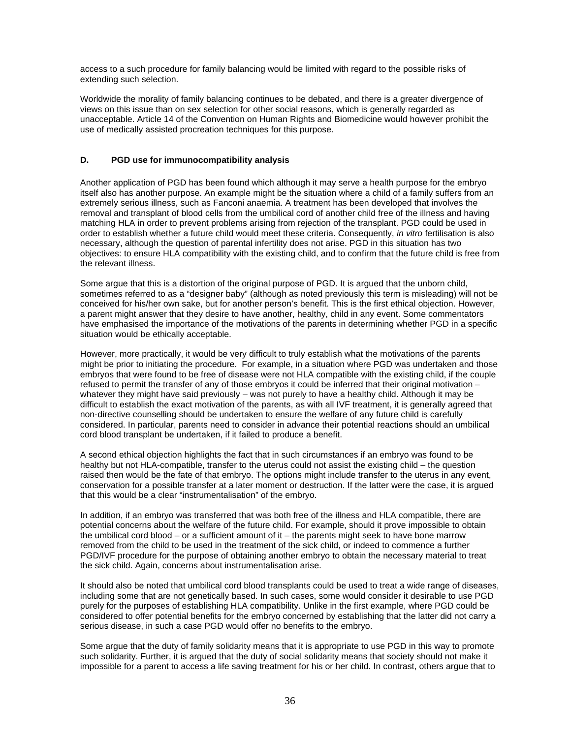access to a such procedure for family balancing would be limited with regard to the possible risks of extending such selection.

Worldwide the morality of family balancing continues to be debated, and there is a greater divergence of views on this issue than on sex selection for other social reasons, which is generally regarded as unacceptable. Article 14 of the Convention on Human Rights and Biomedicine would however prohibit the use of medically assisted procreation techniques for this purpose.

#### **D. PGD use for immunocompatibility analysis**

Another application of PGD has been found which although it may serve a health purpose for the embryo itself also has another purpose. An example might be the situation where a child of a family suffers from an extremely serious illness, such as Fanconi anaemia. A treatment has been developed that involves the removal and transplant of blood cells from the umbilical cord of another child free of the illness and having matching HLA in order to prevent problems arising from rejection of the transplant. PGD could be used in order to establish whether a future child would meet these criteria. Consequently, *in vitro* fertilisation is also necessary, although the question of parental infertility does not arise. PGD in this situation has two objectives: to ensure HLA compatibility with the existing child, and to confirm that the future child is free from the relevant illness.

Some argue that this is a distortion of the original purpose of PGD. It is argued that the unborn child, sometimes referred to as a "designer baby" (although as noted previously this term is misleading) will not be conceived for his/her own sake, but for another person's benefit. This is the first ethical objection. However, a parent might answer that they desire to have another, healthy, child in any event. Some commentators have emphasised the importance of the motivations of the parents in determining whether PGD in a specific situation would be ethically acceptable.

However, more practically, it would be very difficult to truly establish what the motivations of the parents might be prior to initiating the procedure. For example, in a situation where PGD was undertaken and those embryos that were found to be free of disease were not HLA compatible with the existing child, if the couple refused to permit the transfer of any of those embryos it could be inferred that their original motivation – whatever they might have said previously – was not purely to have a healthy child. Although it may be difficult to establish the exact motivation of the parents, as with all IVF treatment, it is generally agreed that non-directive counselling should be undertaken to ensure the welfare of any future child is carefully considered. In particular, parents need to consider in advance their potential reactions should an umbilical cord blood transplant be undertaken, if it failed to produce a benefit.

A second ethical objection highlights the fact that in such circumstances if an embryo was found to be healthy but not HLA-compatible, transfer to the uterus could not assist the existing child – the question raised then would be the fate of that embryo. The options might include transfer to the uterus in any event, conservation for a possible transfer at a later moment or destruction. If the latter were the case, it is argued that this would be a clear "instrumentalisation" of the embryo.

In addition, if an embryo was transferred that was both free of the illness and HLA compatible, there are potential concerns about the welfare of the future child. For example, should it prove impossible to obtain the umbilical cord blood – or a sufficient amount of it – the parents might seek to have bone marrow removed from the child to be used in the treatment of the sick child, or indeed to commence a further PGD/IVF procedure for the purpose of obtaining another embryo to obtain the necessary material to treat the sick child. Again, concerns about instrumentalisation arise.

It should also be noted that umbilical cord blood transplants could be used to treat a wide range of diseases, including some that are not genetically based. In such cases, some would consider it desirable to use PGD purely for the purposes of establishing HLA compatibility. Unlike in the first example, where PGD could be considered to offer potential benefits for the embryo concerned by establishing that the latter did not carry a serious disease, in such a case PGD would offer no benefits to the embryo.

Some argue that the duty of family solidarity means that it is appropriate to use PGD in this way to promote such solidarity. Further, it is argued that the duty of social solidarity means that society should not make it impossible for a parent to access a life saving treatment for his or her child. In contrast, others argue that to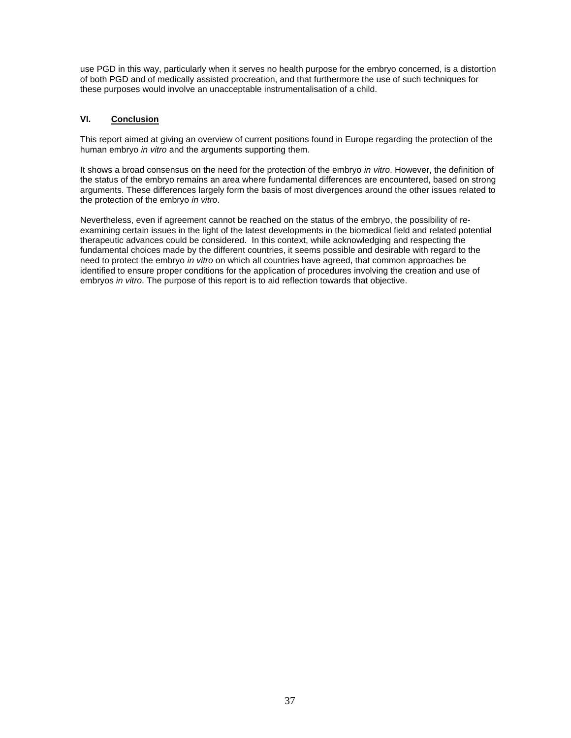use PGD in this way, particularly when it serves no health purpose for the embryo concerned, is a distortion of both PGD and of medically assisted procreation, and that furthermore the use of such techniques for these purposes would involve an unacceptable instrumentalisation of a child.

# **VI. Conclusion**

This report aimed at giving an overview of current positions found in Europe regarding the protection of the human embryo *in vitro* and the arguments supporting them.

It shows a broad consensus on the need for the protection of the embryo *in vitro*. However, the definition of the status of the embryo remains an area where fundamental differences are encountered, based on strong arguments. These differences largely form the basis of most divergences around the other issues related to the protection of the embryo *in vitro*.

Nevertheless, even if agreement cannot be reached on the status of the embryo, the possibility of reexamining certain issues in the light of the latest developments in the biomedical field and related potential therapeutic advances could be considered. In this context, while acknowledging and respecting the fundamental choices made by the different countries, it seems possible and desirable with regard to the need to protect the embryo *in vitro* on which all countries have agreed, that common approaches be identified to ensure proper conditions for the application of procedures involving the creation and use of embryos *in vitro*. The purpose of this report is to aid reflection towards that objective.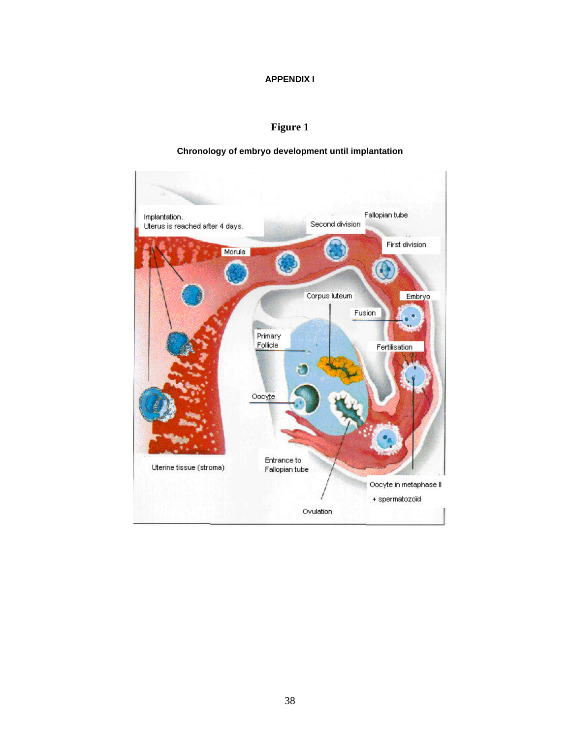# **APPENDIX I**

# **Figure 1**

# **Chronology of embryo development until implantation**

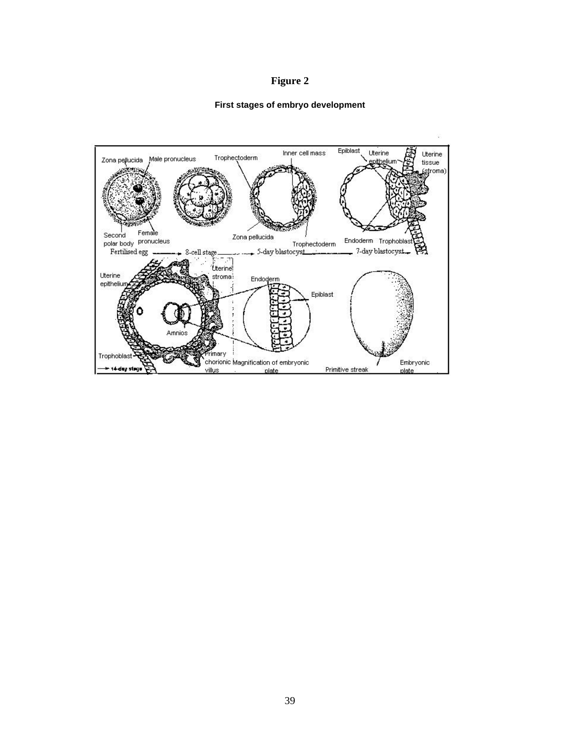# **Figure 2**

# **First stages of embryo development**

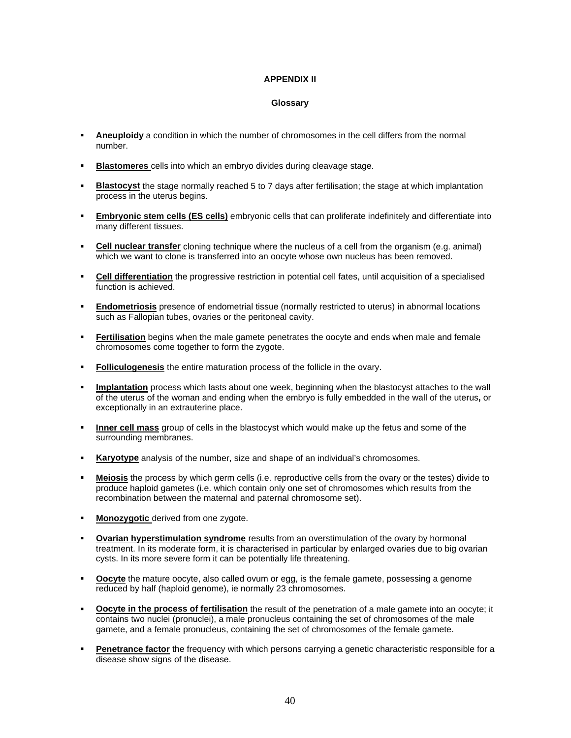# **APPENDIX II**

#### **Glossary**

- ß **Aneuploidy** a condition in which the number of chromosomes in the cell differs from the normal number.
- ß **Blastomeres** cells into which an embryo divides during cleavage stage.
- ß **Blastocyst** the stage normally reached 5 to 7 days after fertilisation; the stage at which implantation process in the uterus begins.
- ß **Embryonic stem cells (ES cells)** embryonic cells that can proliferate indefinitely and differentiate into many different tissues.
- ß **Cell nuclear transfer** cloning technique where the nucleus of a cell from the organism (e.g. animal) which we want to clone is transferred into an oocyte whose own nucleus has been removed.
- **Cell differentiation** the progressive restriction in potential cell fates, until acquisition of a specialised function is achieved.
- **Endometriosis** presence of endometrial tissue (normally restricted to uterus) in abnormal locations such as Fallopian tubes, ovaries or the peritoneal cavity.
- ß **Fertilisation** begins when the male gamete penetrates the oocyte and ends when male and female chromosomes come together to form the zygote.
- **Folliculogenesis** the entire maturation process of the follicle in the ovary.
- **Implantation** process which lasts about one week, beginning when the blastocyst attaches to the wall of the uterus of the woman and ending when the embryo is fully embedded in the wall of the uterus**,** or exceptionally in an extrauterine place.
- **Inner cell mass** group of cells in the blastocyst which would make up the fetus and some of the surrounding membranes.
- **Karyotype** analysis of the number, size and shape of an individual's chromosomes.
- ß **Meiosis** the process by which germ cells (i.e. reproductive cells from the ovary or the testes) divide to produce haploid gametes (i.e. which contain only one set of chromosomes which results from the recombination between the maternal and paternal chromosome set).
- **Monozygotic** derived from one zygote.
- ß **Ovarian hyperstimulation syndrome** results from an overstimulation of the ovary by hormonal treatment. In its moderate form, it is characterised in particular by enlarged ovaries due to big ovarian cysts. In its more severe form it can be potentially life threatening.
- **Oocyte** the mature oocyte, also called ovum or egg, is the female gamete, possessing a genome reduced by half (haploid genome), ie normally 23 chromosomes.
- ß **Oocyte in the process of fertilisation** the result of the penetration of a male gamete into an oocyte; it contains two nuclei (pronuclei), a male pronucleus containing the set of chromosomes of the male gamete, and a female pronucleus, containing the set of chromosomes of the female gamete.
- **Penetrance factor** the frequency with which persons carrying a genetic characteristic responsible for a disease show signs of the disease.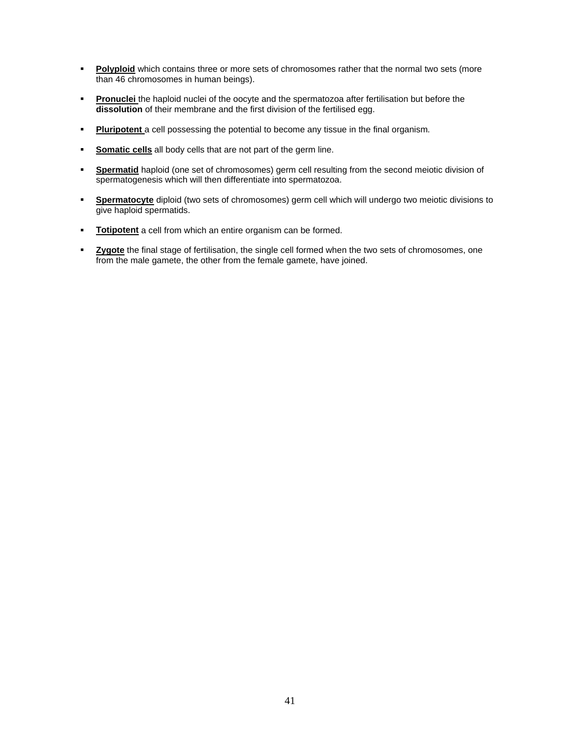- **Polyploid** which contains three or more sets of chromosomes rather that the normal two sets (more than 46 chromosomes in human beings).
- **Pronuclei** the haploid nuclei of the oocyte and the spermatozoa after fertilisation but before the **dissolution** of their membrane and the first division of the fertilised egg.
- **Pluripotent** a cell possessing the potential to become any tissue in the final organism.
- ß **Somatic cells** all body cells that are not part of the germ line.
- **Spermatid** haploid (one set of chromosomes) germ cell resulting from the second meiotic division of spermatogenesis which will then differentiate into spermatozoa.
- **Spermatocyte** diploid (two sets of chromosomes) germ cell which will undergo two meiotic divisions to give haploid spermatids.
- **Totipotent** a cell from which an entire organism can be formed.
- **Exygote** the final stage of fertilisation, the single cell formed when the two sets of chromosomes, one from the male gamete, the other from the female gamete, have joined.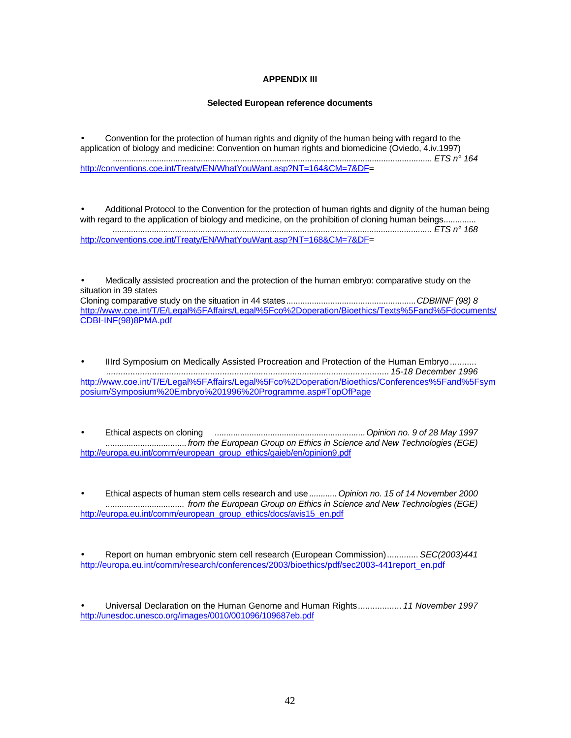# **APPENDIX III**

#### **Selected European reference documents**

• Convention for the protection of human rights and dignity of the human being with regard to the application of biology and medicine: Convention on human rights and biomedicine (Oviedo, 4.iv.1997) .......................................................................................................................................... *ETS n° 164* http://conventions.coe.int/Treaty/EN/WhatYouWant.asp?NT=164&CM=7&DF=

• Additional Protocol to the Convention for the protection of human rights and dignity of the human being with regard to the application of biology and medicine, on the prohibition of cloning human beings............. *.......................................................................................................................................... ETS n° 168* http://conventions.coe.int/Treaty/EN/WhatYouWant.asp?NT=168&CM=7&DF=

• Medically assisted procreation and the protection of the human embryo: comparative study on the situation in 39 states Cloning comparative study on the situation in 44 states........................................................*CDBI/INF (98) 8* http://www.coe.int/T/E/Legal%5FAffairs/Legal%5Fco%2Doperation/Bioethics/Texts%5Fand%5Fdocuments/ CDBI-INF(98)8PMA.pdf

• IIIrd Symposium on Medically Assisted Procreation and Protection of the Human Embryo........... *..................................................................................................................... 15-18 December 1996* http://www.coe.int/T/E/Legal%5FAffairs/Legal%5Fco%2Doperation/Bioethics/Conferences%5Fand%5Fsym posium/Symposium%20Embryo%201996%20Programme.asp#TopOfPage

• Ethical aspects on cloning .................................................................*Opinion no. 9 of 28 May 1997 ...................................from the European Group on Ethics in Science and New Technologies (EGE)* http://europa.eu.int/comm/european\_group\_ethics/gaieb/en/opinion9.pdf

• Ethical aspects of human stem cells research and use *............Opinion no. 15 of 14 November 2000 .................................. from the European Group on Ethics in Science and New Technologies (EGE)* http://europa.eu.int/comm/european\_group\_ethics/docs/avis15\_en.pdf

• Report on human embryonic stem cell research (European Commission)............. *SEC(2003)441* http://europa.eu.int/comm/research/conferences/2003/bioethics/pdf/sec2003-441report\_en.pdf

• Universal Declaration on the Human Genome and Human Rights.................. *11 November 1997* http://unesdoc.unesco.org/images/0010/001096/109687eb.pdf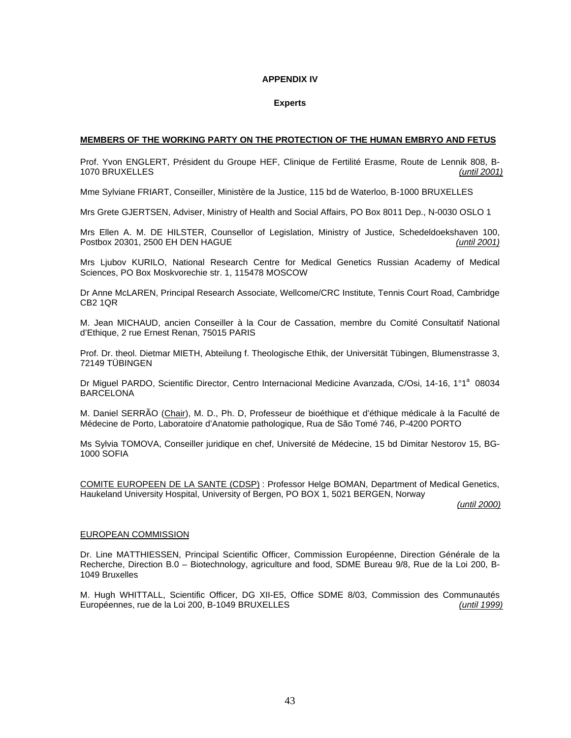#### **APPENDIX IV**

#### **Experts**

#### **MEMBERS OF THE WORKING PARTY ON THE PROTECTION OF THE HUMAN EMBRYO AND FETUS**

Prof. Yvon ENGLERT, Président du Groupe HEF, Clinique de Fertilité Erasme, Route de Lennik 808, B-1070 BRUXELLES *(until 2001)*

Mme Sylviane FRIART, Conseiller, Ministère de la Justice, 115 bd de Waterloo, B-1000 BRUXELLES

Mrs Grete GJERTSEN, Adviser, Ministry of Health and Social Affairs, PO Box 8011 Dep., N-0030 OSLO 1

Mrs Ellen A. M. DE HILSTER, Counsellor of Legislation, Ministry of Justice, Schedeldoekshaven 100, Postbox 20301, 2500 EH DEN HAGUE *(until 2001)*

Mrs Ljubov KURILO, National Research Centre for Medical Genetics Russian Academy of Medical Sciences, PO Box Moskvorechie str. 1, 115478 MOSCOW

Dr Anne McLAREN, Principal Research Associate, Wellcome/CRC Institute, Tennis Court Road, Cambridge CB2 1QR

M. Jean MICHAUD, ancien Conseiller à la Cour de Cassation, membre du Comité Consultatif National d'Ethique, 2 rue Ernest Renan, 75015 PARIS

Prof. Dr. theol. Dietmar MIETH, Abteilung f. Theologische Ethik, der Universität Tübingen, Blumenstrasse 3, 72149 TÜBINGEN

Dr Miguel PARDO, Scientific Director, Centro Internacional Medicine Avanzada, C/Osi, 14-16, 1°1<sup>a</sup> 08034 BARCELONA

M. Daniel SERRÃO (Chair), M. D., Ph. D, Professeur de bioéthique et d'éthique médicale à la Faculté de Médecine de Porto, Laboratoire d'Anatomie pathologique, Rua de São Tomé 746, P-4200 PORTO

Ms Sylvia TOMOVA, Conseiller juridique en chef, Université de Médecine, 15 bd Dimitar Nestorov 15, BG-1000 SOFIA

COMITE EUROPEEN DE LA SANTE (CDSP) : Professor Helge BOMAN, Department of Medical Genetics, Haukeland University Hospital, University of Bergen, PO BOX 1, 5021 BERGEN, Norway

*(until 2000)*

#### EUROPEAN COMMISSION

Dr. Line MATTHIESSEN, Principal Scientific Officer, Commission Européenne, Direction Générale de la Recherche, Direction B.0 – Biotechnology, agriculture and food, SDME Bureau 9/8, Rue de la Loi 200, B-1049 Bruxelles

M. Hugh WHITTALL, Scientific Officer, DG XII-E5, Office SDME 8/03, Commission des Communautés Européennes, rue de la Loi 200, B-1049 BRUXELLES *(until 1999)*